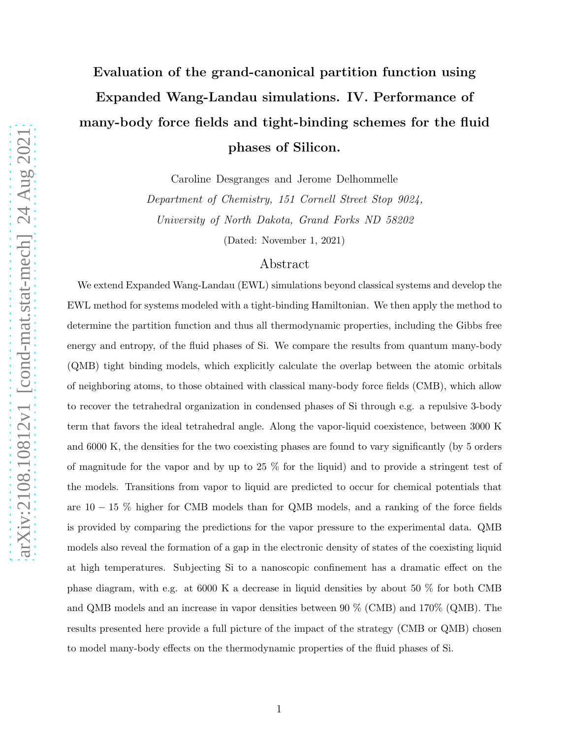# Evaluation of the grand-canonical partition function using Expanded Wang-Landau simulations. IV. Performance of many-body force fields and tight-binding schemes for the fluid phases of Silicon.

Caroline Desgranges and Jerome Delhommelle

Department of Chemistry, 151 Cornell Street Stop 9024, University of North Dakota, Grand Forks ND 58202

(Dated: November 1, 2021)

# Abstract

We extend Expanded Wang-Landau (EWL) simulations beyond classical systems and develop the EWL method for systems modeled with a tight-binding Hamiltonian. We then apply the method to determine the partition function and thus all thermodynamic properties, including the Gibbs free energy and entropy, of the fluid phases of Si. We compare the results from quantum many-body (QMB) tight binding models, which explicitly calculate the overlap between the atomic orbitals of neighboring atoms, to those obtained with classical many-body force fields (CMB), which allow to recover the tetrahedral organization in condensed phases of Si through e.g. a repulsive 3-body term that favors the ideal tetrahedral angle. Along the vapor-liquid coexistence, between 3000 K and 6000 K, the densities for the two coexisting phases are found to vary significantly (by 5 orders of magnitude for the vapor and by up to 25 % for the liquid) and to provide a stringent test of the models. Transitions from vapor to liquid are predicted to occur for chemical potentials that are 10 − 15 % higher for CMB models than for QMB models, and a ranking of the force fields is provided by comparing the predictions for the vapor pressure to the experimental data. QMB models also reveal the formation of a gap in the electronic density of states of the coexisting liquid at high temperatures. Subjecting Si to a nanoscopic confinement has a dramatic effect on the phase diagram, with e.g. at 6000 K a decrease in liquid densities by about 50 % for both CMB and QMB models and an increase in vapor densities between 90 % (CMB) and 170% (QMB). The results presented here provide a full picture of the impact of the strategy (CMB or QMB) chosen to model many-body effects on the thermodynamic properties of the fluid phases of Si.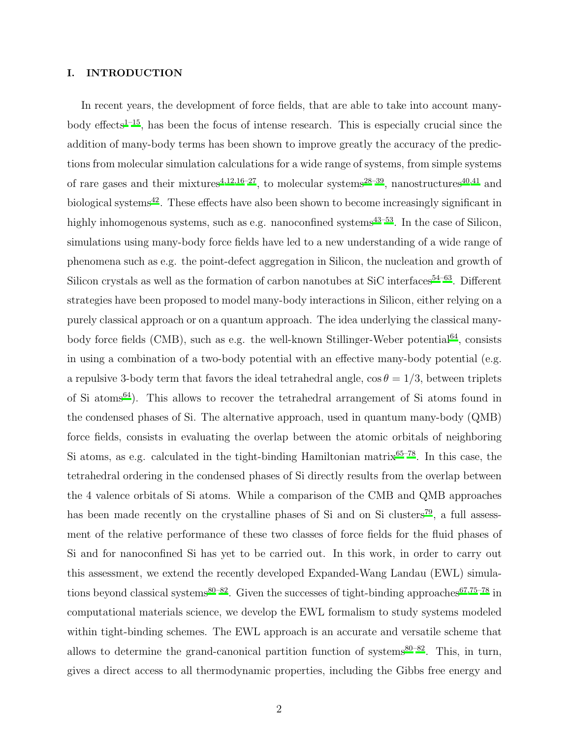#### I. INTRODUCTION

In recent years, the development of force fields, that are able to take into account manybody effects<sup> $1-15$  $1-15$ </sup>, has been the focus of intense research. This is especially crucial since the addition of many-body terms has been shown to improve greatly the accuracy of the predictions from molecular simulation calculations for a wide range of systems, from simple systems of rare gases and their mixtures<sup>[4](#page-18-2)[,12](#page-18-3)[,16](#page-18-4)[–27](#page-19-0)</sup>, to molecular systems<sup>[28](#page-19-1)[–39](#page-19-2)</sup>, nanostructures<sup>[40](#page-19-3)[,41](#page-19-4)</sup> and biological systems<sup>[42](#page-19-5)</sup>. These effects have also been shown to become increasingly significant in highly inhomogenous systems, such as e.g. nanoconfined systems<sup>[43](#page-19-6)[–53](#page-20-0)</sup>. In the case of Silicon, simulations using many-body force fields have led to a new understanding of a wide range of phenomena such as e.g. the point-defect aggregation in Silicon, the nucleation and growth of Silicon crystals as well as the formation of carbon nanotubes at SiC interfaces<sup>[54](#page-20-1)[–63](#page-20-2)</sup>. Different strategies have been proposed to model many-body interactions in Silicon, either relying on a purely classical approach or on a quantum approach. The idea underlying the classical many-body force fields (CMB), such as e.g. the well-known Stillinger-Weber potential<sup>[64](#page-20-3)</sup>, consists in using a combination of a two-body potential with an effective many-body potential (e.g. a repulsive 3-body term that favors the ideal tetrahedral angle,  $\cos \theta = 1/3$ , between triplets of Si atoms[64](#page-20-3)). This allows to recover the tetrahedral arrangement of Si atoms found in the condensed phases of Si. The alternative approach, used in quantum many-body (QMB) force fields, consists in evaluating the overlap between the atomic orbitals of neighboring Si atoms, as e.g. calculated in the tight-binding Hamiltonian matrix $65-78$  $65-78$ . In this case, the tetrahedral ordering in the condensed phases of Si directly results from the overlap between the 4 valence orbitals of Si atoms. While a comparison of the CMB and QMB approaches has been made recently on the crystalline phases of Si and on Si clusters<sup>[79](#page-21-1)</sup>, a full assessment of the relative performance of these two classes of force fields for the fluid phases of Si and for nanoconfined Si has yet to be carried out. In this work, in order to carry out this assessment, we extend the recently developed Expanded-Wang Landau (EWL) simula-tions beyond classical systems<sup>[80](#page-21-2)[–82](#page-21-3)</sup>. Given the successes of tight-binding approaches<sup>[67](#page-20-5)[,75](#page-20-6)[–78](#page-21-0)</sup> in computational materials science, we develop the EWL formalism to study systems modeled within tight-binding schemes. The EWL approach is an accurate and versatile scheme that allows to determine the grand-canonical partition function of systems $80-82$  $80-82$ . This, in turn, gives a direct access to all thermodynamic properties, including the Gibbs free energy and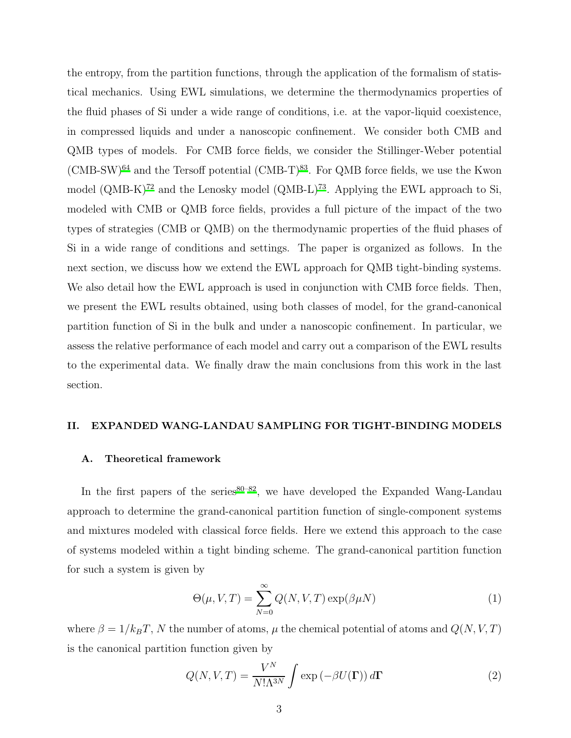the entropy, from the partition functions, through the application of the formalism of statistical mechanics. Using EWL simulations, we determine the thermodynamics properties of the fluid phases of Si under a wide range of conditions, i.e. at the vapor-liquid coexistence, in compressed liquids and under a nanoscopic confinement. We consider both CMB and QMB types of models. For CMB force fields, we consider the Stillinger-Weber potential  $(CMB-SW)^{64}$  $(CMB-SW)^{64}$  $(CMB-SW)^{64}$  and the Tersoff potential  $(CMB-T)^{83}$  $(CMB-T)^{83}$  $(CMB-T)^{83}$ . For QMB force fields, we use the Kwon model  $(QMB-K)^{72}$  $(QMB-K)^{72}$  $(QMB-K)^{72}$  and the Lenosky model  $(QMB-L)^{73}$  $(QMB-L)^{73}$  $(QMB-L)^{73}$ . Applying the EWL approach to Si, modeled with CMB or QMB force fields, provides a full picture of the impact of the two types of strategies (CMB or QMB) on the thermodynamic properties of the fluid phases of Si in a wide range of conditions and settings. The paper is organized as follows. In the next section, we discuss how we extend the EWL approach for QMB tight-binding systems. We also detail how the EWL approach is used in conjunction with CMB force fields. Then, we present the EWL results obtained, using both classes of model, for the grand-canonical partition function of Si in the bulk and under a nanoscopic confinement. In particular, we assess the relative performance of each model and carry out a comparison of the EWL results to the experimental data. We finally draw the main conclusions from this work in the last section.

#### II. EXPANDED WANG-LANDAU SAMPLING FOR TIGHT-BINDING MODELS

#### A. Theoretical framework

In the first papers of the series  $80-82$  $80-82$ , we have developed the Expanded Wang-Landau approach to determine the grand-canonical partition function of single-component systems and mixtures modeled with classical force fields. Here we extend this approach to the case of systems modeled within a tight binding scheme. The grand-canonical partition function for such a system is given by

<span id="page-2-0"></span>
$$
\Theta(\mu, V, T) = \sum_{N=0}^{\infty} Q(N, V, T) \exp(\beta \mu N)
$$
 (1)

where  $\beta = 1/k_B T$ , N the number of atoms,  $\mu$  the chemical potential of atoms and  $Q(N, V, T)$ is the canonical partition function given by

$$
Q(N, V, T) = \frac{V^N}{N! \Lambda^{3N}} \int \exp\left(-\beta U(\mathbf{\Gamma})\right) d\mathbf{\Gamma}
$$
 (2)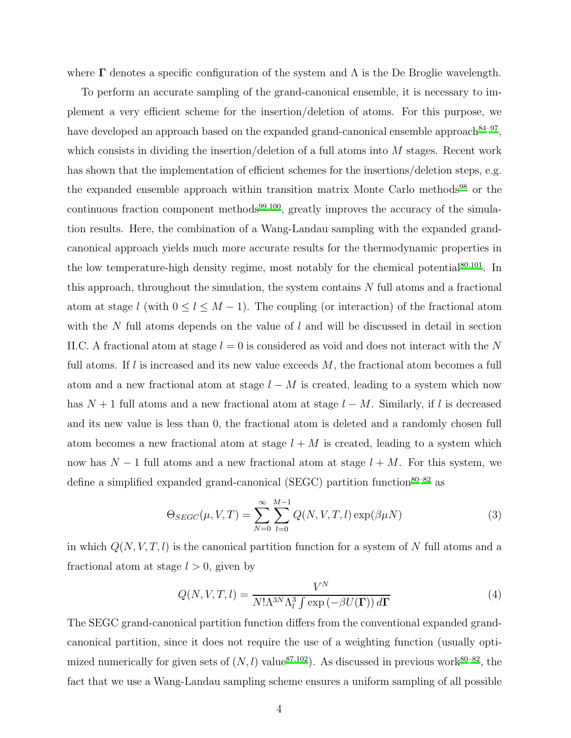where  $\Gamma$  denotes a specific configuration of the system and  $\Lambda$  is the De Broglie wavelength.

To perform an accurate sampling of the grand-canonical ensemble, it is necessary to implement a very efficient scheme for the insertion/deletion of atoms. For this purpose, we have developed an approach based on the expanded grand-canonical ensemble approach<sup>[84](#page-21-5)-97</sup>, which consists in dividing the insertion/deletion of a full atoms into  $M$  stages. Recent work has shown that the implementation of efficient schemes for the insertions/deletion steps, e.g. the expanded ensemble approach within transition matrix Monte Carlo methods<sup>[98](#page-21-7)</sup> or the continuous fraction component methods<sup>[99](#page-21-8)[,100](#page-21-9)</sup>, greatly improves the accuracy of the simulation results. Here, the combination of a Wang-Landau sampling with the expanded grandcanonical approach yields much more accurate results for the thermodynamic properties in the low temperature-high density regime, most notably for the chemical potential $80,101$  $80,101$ . In this approach, throughout the simulation, the system contains  $N$  full atoms and a fractional atom at stage l (with  $0 \leq l \leq M-1$ ). The coupling (or interaction) of the fractional atom with the N full atoms depends on the value of  $l$  and will be discussed in detail in section II.C. A fractional atom at stage  $l = 0$  is considered as void and does not interact with the N full atoms. If  $l$  is increased and its new value exceeds  $M$ , the fractional atom becomes a full atom and a new fractional atom at stage  $l - M$  is created, leading to a system which now has  $N + 1$  full atoms and a new fractional atom at stage  $l - M$ . Similarly, if l is decreased and its new value is less than 0, the fractional atom is deleted and a randomly chosen full atom becomes a new fractional atom at stage  $l + M$  is created, leading to a system which now has  $N-1$  full atoms and a new fractional atom at stage  $l + M$ . For this system, we define a simplified expanded grand-canonical (SEGC) partition function ${}^{80-82}$  ${}^{80-82}$  ${}^{80-82}$  as

$$
\Theta_{SEGC}(\mu, V, T) = \sum_{N=0}^{\infty} \sum_{l=0}^{M-1} Q(N, V, T, l) \exp(\beta \mu N)
$$
 (3)

in which  $Q(N, V, T, l)$  is the canonical partition function for a system of N full atoms and a fractional atom at stage  $l > 0$ , given by

$$
Q(N, V, T, l) = \frac{V^N}{N! \Lambda^3 N \Lambda_l^3 \int \exp\left(-\beta U(\mathbf{\Gamma})\right) d\mathbf{\Gamma}}
$$
(4)

The SEGC grand-canonical partition function differs from the conventional expanded grandcanonical partition, since it does not require the use of a weighting function (usually optimized numerically for given sets of  $(N, l)$  value<sup>[87](#page-21-11)[,102](#page-21-12)</sup>). As discussed in previous work<sup>[80](#page-21-2)[–82](#page-21-3)</sup>, the fact that we use a Wang-Landau sampling scheme ensures a uniform sampling of all possible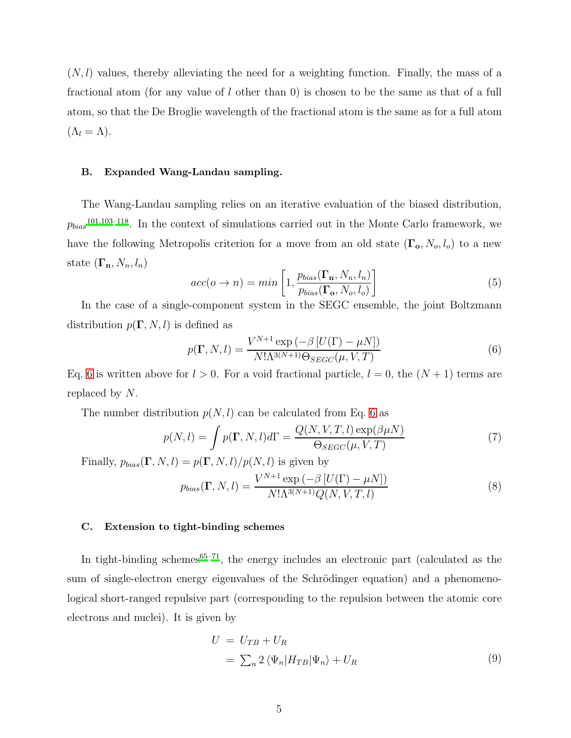$(N, l)$  values, thereby alleviating the need for a weighting function. Finally, the mass of a fractional atom (for any value of l other than 0) is chosen to be the same as that of a full atom, so that the De Broglie wavelength of the fractional atom is the same as for a full atom  $(\Lambda_l = \Lambda).$ 

#### B. Expanded Wang-Landau sampling.

The Wang-Landau sampling relies on an iterative evaluation of the biased distribution,  $p_{bias}^{101,103-118}$  $p_{bias}^{101,103-118}$  $p_{bias}^{101,103-118}$  $p_{bias}^{101,103-118}$ . In the context of simulations carried out in the Monte Carlo framework, we have the following Metropolis criterion for a move from an old state  $(\Gamma_o, N_o, l_o)$  to a new state  $(\mathbf{\Gamma}_n, N_n, l_n)$ 

$$
acc(o \to n) = min\left[1, \frac{p_{bias}(\Gamma_n, N_n, l_n)}{p_{bias}(\Gamma_o, N_o, l_o)}\right]
$$
(5)

In the case of a single-component system in the SEGC ensemble, the joint Boltzmann distribution  $p(\mathbf{\Gamma}, N, l)$  is defined as

<span id="page-4-0"></span>
$$
p(\mathbf{\Gamma}, N, l) = \frac{V^{N+1} \exp\left(-\beta \left[U(\Gamma) - \mu N\right]\right)}{N! \Lambda^{3(N+1)} \Theta_{SEGC}(\mu, V, T)}
$$
(6)

Eq. [6](#page-4-0) is written above for  $l > 0$ . For a void fractional particle,  $l = 0$ , the  $(N + 1)$  terms are replaced by N.

The number distribution  $p(N, l)$  can be calculated from Eq. [6](#page-4-0) as

$$
p(N,l) = \int p(\mathbf{\Gamma}, N, l)d\mathbf{\Gamma} = \frac{Q(N, V, T, l) \exp(\beta \mu N)}{\Theta_{SEGC}(\mu, V, T)}
$$
(7)

Finally,  $p_{bias}(\mathbf{\Gamma}, N, l) = p(\mathbf{\Gamma}, N, l)/p(N, l)$  is given by

$$
p_{bias}(\mathbf{\Gamma}, N, l) = \frac{V^{N+1} \exp\left(-\beta \left[U(\Gamma) - \mu N\right]\right)}{N! \Lambda^{3(N+1)} Q(N, V, T, l)}
$$
(8)

## C. Extension to tight-binding schemes

In tight-binding schemes<sup>[65](#page-20-4)[–71](#page-20-9)</sup>, the energy includes an electronic part (calculated as the sum of single-electron energy eigenvalues of the Schrödinger equation) and a phenomenological short-ranged repulsive part (corresponding to the repulsion between the atomic core electrons and nuclei). It is given by

<span id="page-4-1"></span>
$$
U = U_{TB} + U_R
$$
  
=  $\sum_n 2 \langle \Psi_n | H_{TB} | \Psi_n \rangle + U_R$  (9)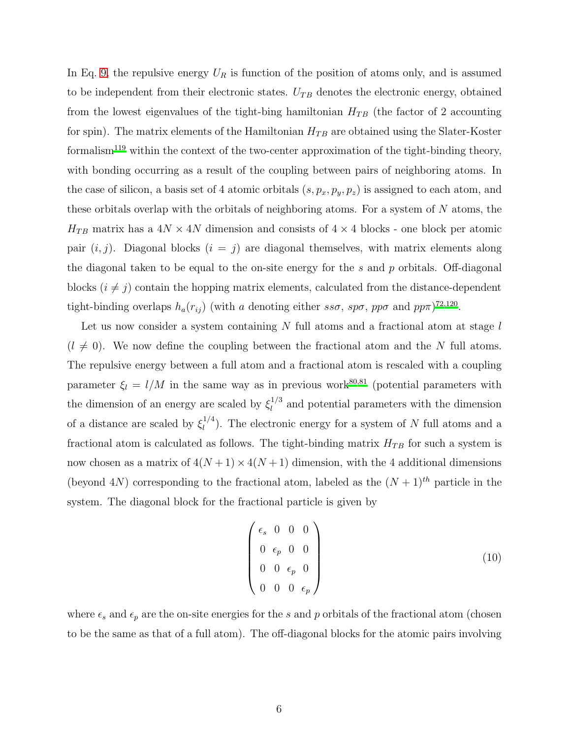In Eq. [9,](#page-4-1) the repulsive energy  $U_R$  is function of the position of atoms only, and is assumed to be independent from their electronic states.  $U_{TB}$  denotes the electronic energy, obtained from the lowest eigenvalues of the tight-bing hamiltonian  $H_{TB}$  (the factor of 2 accounting for spin). The matrix elements of the Hamiltonian  $H_{TB}$  are obtained using the Slater-Koster formalism<sup>[119](#page-22-1)</sup> within the context of the two-center approximation of the tight-binding theory, with bonding occurring as a result of the coupling between pairs of neighboring atoms. In the case of silicon, a basis set of 4 atomic orbitals  $(s, p_x, p_y, p_z)$  is assigned to each atom, and these orbitals overlap with the orbitals of neighboring atoms. For a system of N atoms, the  $H_{TB}$  matrix has a  $4N \times 4N$  dimension and consists of  $4 \times 4$  blocks - one block per atomic pair  $(i, j)$ . Diagonal blocks  $(i = j)$  are diagonal themselves, with matrix elements along the diagonal taken to be equal to the on-site energy for the s and  $p$  orbitals. Off-diagonal blocks  $(i \neq j)$  contain the hopping matrix elements, calculated from the distance-dependent tight-binding overlaps  $h_a(r_{ij})$  (with a denoting either  $ss\sigma$ ,  $sp\sigma$ ,  $pp\sigma$  and  $pp\pi$ )<sup>[72](#page-20-7)[,120](#page-22-2)</sup>.

Let us now consider a system containing  $N$  full atoms and a fractional atom at stage  $l$  $(l \neq 0)$ . We now define the coupling between the fractional atom and the N full atoms. The repulsive energy between a full atom and a fractional atom is rescaled with a coupling parameter  $\xi_l = l/M$  in the same way as in previous work<sup>[80](#page-21-2)[,81](#page-21-14)</sup> (potential parameters with the dimension of an energy are scaled by  $\xi_l^{1/3}$  $\mu_l^{(1/3)}$  and potential parameters with the dimension of a distance are scaled by  $\xi_l^{1/4}$  $\binom{1}{l}$ . The electronic energy for a system of N full atoms and a fractional atom is calculated as follows. The tight-binding matrix  $H_{TB}$  for such a system is now chosen as a matrix of  $4(N+1) \times 4(N+1)$  dimension, with the 4 additional dimensions (beyond 4N) corresponding to the fractional atom, labeled as the  $(N+1)$ <sup>th</sup> particle in the system. The diagonal block for the fractional particle is given by

$$
\begin{pmatrix}\n\epsilon_s & 0 & 0 & 0 \\
0 & \epsilon_p & 0 & 0 \\
0 & 0 & \epsilon_p & 0 \\
0 & 0 & 0 & \epsilon_p\n\end{pmatrix}
$$
\n(10)

where  $\epsilon_s$  and  $\epsilon_p$  are the on-site energies for the s and p orbitals of the fractional atom (chosen to be the same as that of a full atom). The off-diagonal blocks for the atomic pairs involving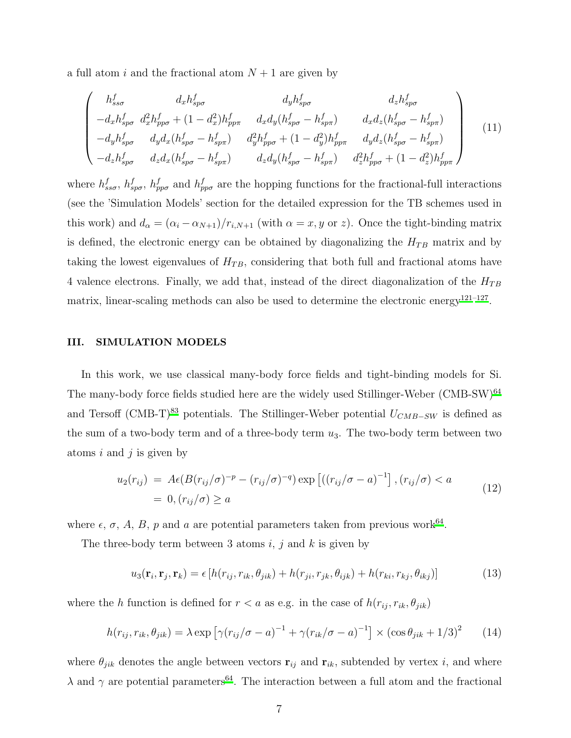a full atom i and the fractional atom  $N + 1$  are given by

$$
\begin{pmatrix}\nh_{ss\sigma}^{f} & d_{x}h_{sp\sigma}^{f} & d_{y}h_{sp\sigma}^{f} & d_{z}h_{sp\sigma}^{f} \\
-d_{x}h_{sp\sigma}^{f} & d_{x}^{2}h_{pp\sigma}^{f} + (1 - d_{x}^{2})h_{pp\pi}^{f} & d_{x}d_{y}(h_{sp\sigma}^{f} - h_{sp\pi}^{f}) & d_{x}d_{z}(h_{sp\sigma}^{f} - h_{sp\pi}^{f}) \\
-d_{y}h_{sp\sigma}^{f} & d_{y}d_{x}(h_{sp\sigma}^{f} - h_{sp\pi}^{f}) & d_{y}^{2}h_{pp\sigma}^{f} + (1 - d_{y}^{2})h_{pp\pi}^{f} & d_{y}d_{z}(h_{sp\sigma}^{f} - h_{sp\pi}^{f}) \\
-d_{z}h_{sp\sigma}^{f} & d_{z}d_{x}(h_{sp\sigma}^{f} - h_{sp\pi}^{f}) & d_{z}d_{y}(h_{sp\sigma}^{f} - h_{sp\pi}^{f}) & d_{z}^{2}h_{pp\sigma}^{f} + (1 - d_{z}^{2})h_{pp\pi}^{f}\n\end{pmatrix}
$$
\n(11)

where  $h_{ss\sigma}^f$ ,  $h_{sp\sigma}^f$ ,  $h_{pp\sigma}^f$  and  $h_{pp\sigma}^f$  are the hopping functions for the fractional-full interactions (see the 'Simulation Models' section for the detailed expression for the TB schemes used in this work) and  $d_{\alpha} = (\alpha_i - \alpha_{N+1})/r_{i,N+1}$  (with  $\alpha = x, y$  or z). Once the tight-binding matrix is defined, the electronic energy can be obtained by diagonalizing the  $H_{TB}$  matrix and by taking the lowest eigenvalues of  $H_{TB}$ , considering that both full and fractional atoms have 4 valence electrons. Finally, we add that, instead of the direct diagonalization of the  $H_{TB}$ matrix, linear-scaling methods can also be used to determine the electronic energy<sup>[121](#page-22-3)-127</sup>.

#### III. SIMULATION MODELS

In this work, we use classical many-body force fields and tight-binding models for Si. The many-body force fields studied here are the widely used Stillinger-Weber (CMB-SW)<sup>[64](#page-20-3)</sup> and Tersoff (CMB-T)<sup>[83](#page-21-4)</sup> potentials. The Stillinger-Weber potential  $U_{CMB-SW}$  is defined as the sum of a two-body term and of a three-body term  $u_3$ . The two-body term between two atoms  $i$  and  $j$  is given by

$$
u_2(r_{ij}) = A\epsilon (B(r_{ij}/\sigma)^{-p} - (r_{ij}/\sigma)^{-q}) \exp \left[ ((r_{ij}/\sigma - a)^{-1} \right], (r_{ij}/\sigma) < a \tag{12}
$$
\n
$$
= 0, (r_{ij}/\sigma) \ge a
$$

where  $\epsilon$ ,  $\sigma$ ,  $A$ ,  $B$ ,  $p$  and  $a$  are potential parameters taken from previous work<sup>[64](#page-20-3)</sup>.

The three-body term between 3 atoms  $i, j$  and  $k$  is given by

$$
u_3(\mathbf{r}_i, \mathbf{r}_j, \mathbf{r}_k) = \epsilon \left[ h(r_{ij}, r_{ik}, \theta_{jik}) + h(r_{ji}, r_{jk}, \theta_{ijk}) + h(r_{ki}, r_{kj}, \theta_{ikj}) \right]
$$
(13)

where the h function is defined for  $r < a$  as e.g. in the case of  $h(r_{ij}, r_{ik}, \theta_{jik})$ 

$$
h(r_{ij}, r_{ik}, \theta_{jik}) = \lambda \exp\left[\gamma(r_{ij}/\sigma - a)^{-1} + \gamma(r_{ik}/\sigma - a)^{-1}\right] \times \left(\cos\theta_{jik} + 1/3\right)^2 \tag{14}
$$

where  $\theta_{jik}$  denotes the angle between vectors  $\mathbf{r}_{ij}$  and  $\mathbf{r}_{ik}$ , subtended by vertex i, and where  $\lambda$  and  $\gamma$  are potential parameters<sup>[64](#page-20-3)</sup>. The interaction between a full atom and the fractional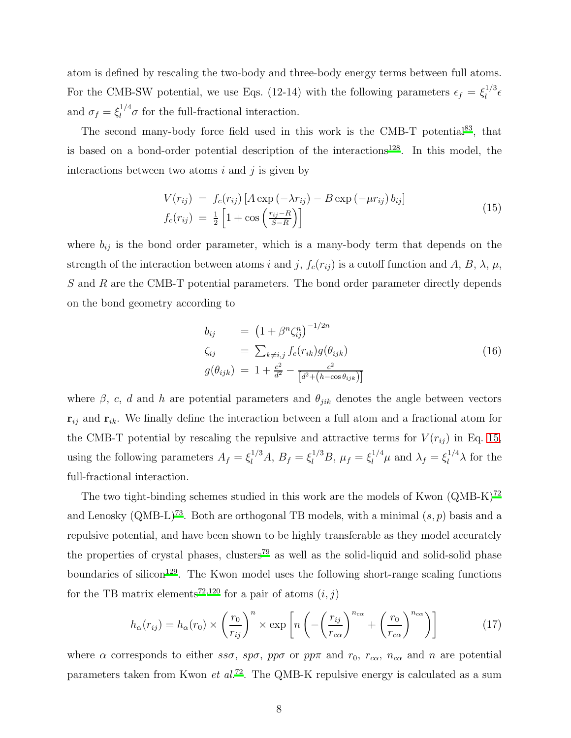atom is defined by rescaling the two-body and three-body energy terms between full atoms. For the CMB-SW potential, we use Eqs. (12-14) with the following parameters  $\epsilon_f = \xi_l^{1/3}$  $\int_l^{1/\delta}$ and  $\sigma_f = \xi_l^{1/4} \sigma$  for the full-fractional interaction.

The second many-body force field used in this work is the CMB-T potential<sup>[83](#page-21-4)</sup>, that is based on a bond-order potential description of the interactions<sup>[128](#page-22-5)</sup>. In this model, the interactions between two atoms  $i$  and  $j$  is given by

<span id="page-7-0"></span>
$$
V(r_{ij}) = f_c(r_{ij}) \left[ A \exp\left(-\lambda r_{ij}\right) - B \exp\left(-\mu r_{ij}\right) b_{ij} \right]
$$
  

$$
f_c(r_{ij}) = \frac{1}{2} \left[ 1 + \cos\left(\frac{r_{ij} - R}{S - R}\right) \right]
$$
 (15)

where  $b_{ij}$  is the bond order parameter, which is a many-body term that depends on the strength of the interaction between atoms i and j,  $f_c(r_{ij})$  is a cutoff function and A, B,  $\lambda$ ,  $\mu$ , S and R are the CMB-T potential parameters. The bond order parameter directly depends on the bond geometry according to

$$
b_{ij} = (1 + \beta^n \zeta_{ij}^n)^{-1/2n}
$$
  
\n
$$
\zeta_{ij} = \sum_{k \neq i,j} f_c(r_{ik}) g(\theta_{ijk})
$$
  
\n
$$
g(\theta_{ijk}) = 1 + \frac{c^2}{d^2} - \frac{c^2}{[d^2 + (h - \cos \theta_{ijk})]}
$$
\n(16)

where  $\beta$ , c, d and h are potential parameters and  $\theta_{jik}$  denotes the angle between vectors  $\mathbf{r}_{ij}$  and  $\mathbf{r}_{ik}$ . We finally define the interaction between a full atom and a fractional atom for the CMB-T potential by rescaling the repulsive and attractive terms for  $V(r_{ij})$  in Eq. [15,](#page-7-0) using the following parameters  $A_f = \xi_l^{1/3} A$ ,  $B_f = \xi_l^{1/3} B$ ,  $\mu_f = \xi_l^{1/4} \mu$  and  $\lambda_f = \xi_l^{1/4} \lambda$  for the full-fractional interaction.

The two tight-binding schemes studied in this work are the models of Kwon  $(QMB-K)^{72}$  $(QMB-K)^{72}$  $(QMB-K)^{72}$ and Lenosky (QMB-L)<sup>[73](#page-20-8)</sup>. Both are orthogonal TB models, with a minimal  $(s, p)$  basis and a repulsive potential, and have been shown to be highly transferable as they model accurately the properties of crystal phases, clusters<sup>[79](#page-21-1)</sup> as well as the solid-liquid and solid-solid phase boundaries of silicon<sup>[129](#page-22-6)</sup>. The Kwon model uses the following short-range scaling functions for the TB matrix elements<sup>[72](#page-20-7)[,120](#page-22-2)</sup> for a pair of atoms  $(i, j)$ 

<span id="page-7-1"></span>
$$
h_{\alpha}(r_{ij}) = h_{\alpha}(r_0) \times \left(\frac{r_0}{r_{ij}}\right)^n \times \exp\left[n\left(-\left(\frac{r_{ij}}{r_{c\alpha}}\right)^{n_{c\alpha}} + \left(\frac{r_0}{r_{c\alpha}}\right)^{n_{c\alpha}}\right)\right]
$$
(17)

where  $\alpha$  corresponds to either  $ss\sigma$ ,  $sp\sigma$ ,  $pp\sigma$  or  $pp\pi$  and  $r_0$ ,  $r_{c\alpha}$ ,  $n_{c\alpha}$  and n are potential parameters taken from Kwon *et al.*<sup>[72](#page-20-7)</sup>. The QMB-K repulsive energy is calculated as a sum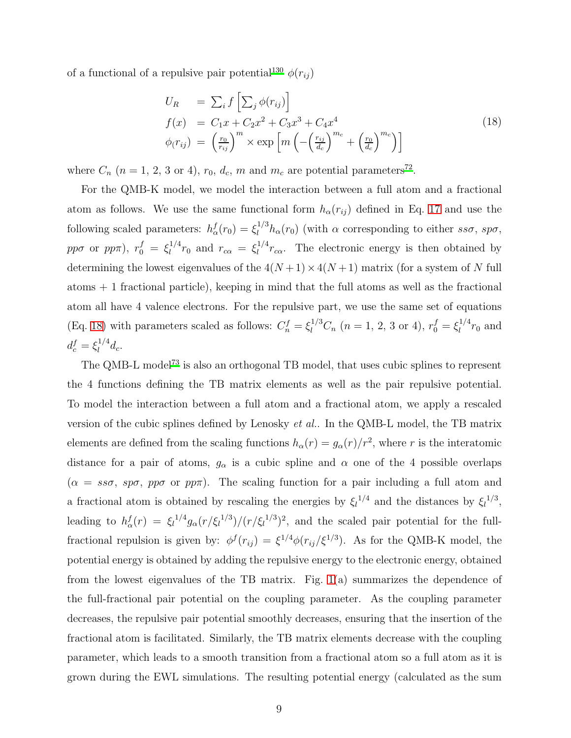of a functional of a repulsive pair potential<sup>[130](#page-22-7)</sup>  $\phi(r_{ij})$ 

<span id="page-8-0"></span>
$$
U_R = \sum_i f\left[\sum_j \phi(r_{ij})\right]
$$
  
\n
$$
f(x) = C_1 x + C_2 x^2 + C_3 x^3 + C_4 x^4
$$
  
\n
$$
\phi(r_{ij}) = \left(\frac{r_0}{r_{ij}}\right)^m \times \exp\left[m\left(-\left(\frac{r_{ij}}{d_c}\right)^{m_c} + \left(\frac{r_0}{d_c}\right)^{m_c}\right)\right]
$$
\n(18)

where  $C_n$   $(n = 1, 2, 3 \text{ or } 4), r_0, d_c, m$  and  $m_c$  are potential parameters<sup>[72](#page-20-7)</sup>.

For the QMB-K model, we model the interaction between a full atom and a fractional atom as follows. We use the same functional form  $h_{\alpha}(r_{ij})$  defined in Eq. [17](#page-7-1) and use the following scaled parameters:  $h_{\alpha}^{f}(r_0) = \xi_l^{1/3} h_{\alpha}(r_0)$  (with  $\alpha$  corresponding to either  $ss\sigma$ ,  $sp\sigma$ , pp $\sigma$  or pp $\pi$ ),  $r_0^f = \xi_l^{1/4}$  $l_l^{1/4}r_0$  and  $r_{c\alpha} = \xi_l^{1/4}$  $\int_l^{1/4} r_{c\alpha}$ . The electronic energy is then obtained by determining the lowest eigenvalues of the  $4(N+1) \times 4(N+1)$  matrix (for a system of N full atoms  $+1$  fractional particle), keeping in mind that the full atoms as well as the fractional atom all have 4 valence electrons. For the repulsive part, we use the same set of equations (Eq. [18\)](#page-8-0) with parameters scaled as follows:  $C_n^f = \xi_l^{1/3} C_n$   $(n = 1, 2, 3 \text{ or } 4), r_0^f = \xi_l^{1/4}$  $l^{1/4}r_0$  and  $d_c^f = \xi_l^{1/4}$  $l_1^{1/4}d_c.$ 

The QMB-L model<sup>[73](#page-20-8)</sup> is also an orthogonal TB model, that uses cubic splines to represent the 4 functions defining the TB matrix elements as well as the pair repulsive potential. To model the interaction between a full atom and a fractional atom, we apply a rescaled version of the cubic splines defined by Lenosky et al.. In the QMB-L model, the TB matrix elements are defined from the scaling functions  $h_{\alpha}(r) = g_{\alpha}(r)/r^2$ , where r is the interatomic distance for a pair of atoms,  $g_{\alpha}$  is a cubic spline and  $\alpha$  one of the 4 possible overlaps  $(\alpha = s\sigma, s\varphi, p\varphi, p\varphi)$ . The scaling function for a pair including a full atom and a fractional atom is obtained by rescaling the energies by  $\xi_l^{1/4}$  and the distances by  $\xi_l^{1/3}$ , leading to  $h^f_\alpha(r) = \xi_l^{1/4} g_\alpha(r/\xi_l^{1/3})/(r/\xi_l^{1/3})^2$ , and the scaled pair potential for the fullfractional repulsion is given by:  $\phi^f(r_{ij}) = \xi^{1/4} \phi(r_{ij}/\xi^{1/3})$ . As for the QMB-K model, the potential energy is obtained by adding the repulsive energy to the electronic energy, obtained from the lowest eigenvalues of the TB matrix. Fig. [1\(](#page-26-0)a) summarizes the dependence of the full-fractional pair potential on the coupling parameter. As the coupling parameter decreases, the repulsive pair potential smoothly decreases, ensuring that the insertion of the fractional atom is facilitated. Similarly, the TB matrix elements decrease with the coupling parameter, which leads to a smooth transition from a fractional atom so a full atom as it is grown during the EWL simulations. The resulting potential energy (calculated as the sum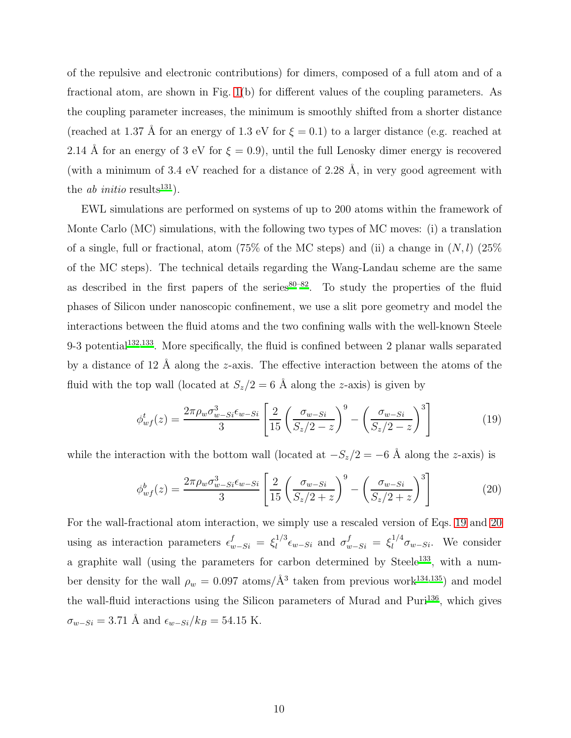of the repulsive and electronic contributions) for dimers, composed of a full atom and of a fractional atom, are shown in Fig. [1\(](#page-26-0)b) for different values of the coupling parameters. As the coupling parameter increases, the minimum is smoothly shifted from a shorter distance (reached at 1.37 Å for an energy of 1.3 eV for  $\xi = 0.1$ ) to a larger distance (e.g. reached at 2.14 Å for an energy of 3 eV for  $\xi = 0.9$ , until the full Lenosky dimer energy is recovered (with a minimum of 3.4 eV reached for a distance of 2.28  $\AA$ , in very good agreement with the *ab initio* results<sup>[131](#page-23-0)</sup>).

EWL simulations are performed on systems of up to 200 atoms within the framework of Monte Carlo (MC) simulations, with the following two types of MC moves: (i) a translation of a single, full or fractional, atom (75% of the MC steps) and (ii) a change in  $(N, l)$  (25% of the MC steps). The technical details regarding the Wang-Landau scheme are the same as described in the first papers of the series $80-82$  $80-82$ . To study the properties of the fluid phases of Silicon under nanoscopic confinement, we use a slit pore geometry and model the interactions between the fluid atoms and the two confining walls with the well-known Steele 9-3 potential<sup>[132](#page-23-1)[,133](#page-23-2)</sup>. More specifically, the fluid is confined between 2 planar walls separated by a distance of 12 Å along the z-axis. The effective interaction between the atoms of the fluid with the top wall (located at  $S_z/2 = 6$  Å along the z-axis) is given by

<span id="page-9-0"></span>
$$
\phi_{wf}^t(z) = \frac{2\pi \rho_w \sigma_{w-Si}^3 \epsilon_{w-Si}}{3} \left[ \frac{2}{15} \left( \frac{\sigma_{w-Si}}{S_z/2 - z} \right)^9 - \left( \frac{\sigma_{w-Si}}{S_z/2 - z} \right)^3 \right]
$$
(19)

while the interaction with the bottom wall (located at  $-S_z/2 = -6$  Å along the z-axis) is

<span id="page-9-1"></span>
$$
\phi_{wf}^b(z) = \frac{2\pi \rho_w \sigma_{w-Si}^3 \epsilon_{w-Si}}{3} \left[ \frac{2}{15} \left( \frac{\sigma_{w-Si}}{S_z/2 + z} \right)^9 - \left( \frac{\sigma_{w-Si}}{S_z/2 + z} \right)^3 \right]
$$
(20)

For the wall-fractional atom interaction, we simply use a rescaled version of Eqs. [19](#page-9-0) and [20](#page-9-1) using as interaction parameters  $\epsilon_{w-Si}^f = \xi_l^{1/3}$  $\int_l^{1/3} \epsilon_{w-Si}$  and  $\sigma_{w-Si}^f = \xi_l^{1/4}$  $\int_{l}^{1/4} \sigma_{w-Si}$ . We consider a graphite wall (using the parameters for carbon determined by Steele<sup>[133](#page-23-2)</sup>, with a number density for the wall  $\rho_w = 0.097$  atoms/ $\AA^3$  taken from previous work<sup>[134](#page-23-3)[,135](#page-23-4)</sup>) and model the wall-fluid interactions using the Silicon parameters of Murad and Puri<sup>[136](#page-23-5)</sup>, which gives  $\sigma_{w-Si} = 3.71 \text{ Å}$  and  $\epsilon_{w-Si}/k_B = 54.15 \text{ K}.$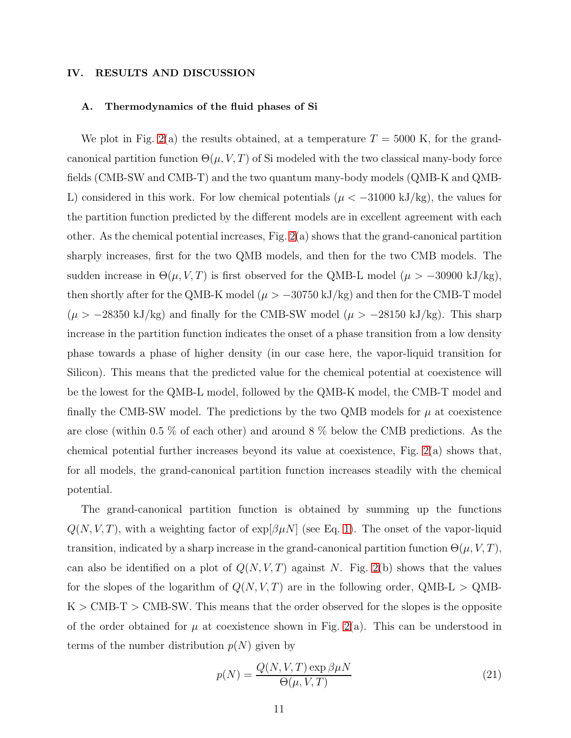#### IV. RESULTS AND DISCUSSION

#### A. Thermodynamics of the fluid phases of Si

We plot in Fig. [2\(](#page-27-0)a) the results obtained, at a temperature  $T = 5000$  K, for the grandcanonical partition function  $\Theta(\mu, V, T)$  of Si modeled with the two classical many-body force fields (CMB-SW and CMB-T) and the two quantum many-body models (QMB-K and QMB-L) considered in this work. For low chemical potentials ( $\mu < -31000 \text{ kJ/kg}$ ), the values for the partition function predicted by the different models are in excellent agreement with each other. As the chemical potential increases, Fig.  $2(a)$  shows that the grand-canonical partition sharply increases, first for the two QMB models, and then for the two CMB models. The sudden increase in  $\Theta(\mu, V, T)$  is first observed for the QMB-L model  $(\mu > -30900 \text{ kJ/kg})$ , then shortly after for the QMB-K model ( $\mu > -30750 \text{ kJ/kg}$ ) and then for the CMB-T model  $(\mu > -28350 \text{ kJ/kg})$  and finally for the CMB-SW model  $(\mu > -28150 \text{ kJ/kg})$ . This sharp increase in the partition function indicates the onset of a phase transition from a low density phase towards a phase of higher density (in our case here, the vapor-liquid transition for Silicon). This means that the predicted value for the chemical potential at coexistence will be the lowest for the QMB-L model, followed by the QMB-K model, the CMB-T model and finally the CMB-SW model. The predictions by the two QMB models for  $\mu$  at coexistence are close (within 0.5 % of each other) and around 8 % below the CMB predictions. As the chemical potential further increases beyond its value at coexistence, Fig. [2\(](#page-27-0)a) shows that, for all models, the grand-canonical partition function increases steadily with the chemical potential.

The grand-canonical partition function is obtained by summing up the functions  $Q(N, V, T)$ , with a weighting factor of  $\exp[\beta \mu N]$  (see Eq. [1\)](#page-2-0). The onset of the vapor-liquid transition, indicated by a sharp increase in the grand-canonical partition function  $\Theta(\mu, V, T)$ , can also be identified on a plot of  $Q(N, V, T)$  against N. Fig. [2\(](#page-27-0)b) shows that the values for the slopes of the logarithm of  $Q(N, V, T)$  are in the following order, QMB-L > QMB- $K > CMB-T > CMB-SW$ . This means that the order observed for the slopes is the opposite of the order obtained for  $\mu$  at coexistence shown in Fig. [2\(](#page-27-0)a). This can be understood in terms of the number distribution  $p(N)$  given by

$$
p(N) = \frac{Q(N, V, T) \exp \beta \mu N}{\Theta(\mu, V, T)}
$$
\n(21)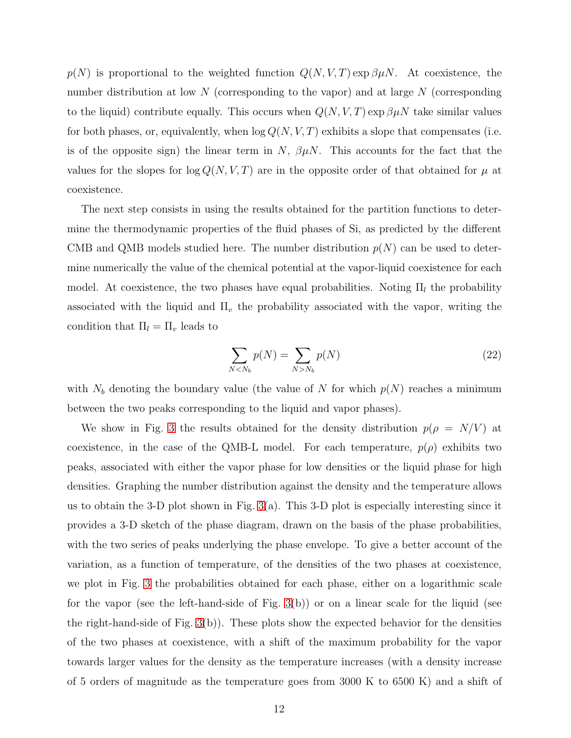$p(N)$  is proportional to the weighted function  $Q(N, V, T) \exp \beta \mu N$ . At coexistence, the number distribution at low  $N$  (corresponding to the vapor) and at large  $N$  (corresponding to the liquid) contribute equally. This occurs when  $Q(N, V, T)$  exp  $\beta \mu N$  take similar values for both phases, or, equivalently, when  $\log Q(N, V, T)$  exhibits a slope that compensates (i.e. is of the opposite sign) the linear term in  $N$ ,  $\beta \mu N$ . This accounts for the fact that the values for the slopes for  $\log Q(N, V, T)$  are in the opposite order of that obtained for  $\mu$  at coexistence.

The next step consists in using the results obtained for the partition functions to determine the thermodynamic properties of the fluid phases of Si, as predicted by the different CMB and QMB models studied here. The number distribution  $p(N)$  can be used to determine numerically the value of the chemical potential at the vapor-liquid coexistence for each model. At coexistence, the two phases have equal probabilities. Noting  $\Pi_l$  the probability associated with the liquid and  $\Pi_{\nu}$  the probability associated with the vapor, writing the condition that  $\Pi_l = \Pi_v$  leads to

$$
\sum_{N < N_b} p(N) = \sum_{N > N_b} p(N) \tag{22}
$$

with  $N_b$  denoting the boundary value (the value of N for which  $p(N)$  reaches a minimum between the two peaks corresponding to the liquid and vapor phases).

We show in Fig. [3](#page-28-0) the results obtained for the density distribution  $p(\rho = N/V)$  at coexistence, in the case of the QMB-L model. For each temperature,  $p(\rho)$  exhibits two peaks, associated with either the vapor phase for low densities or the liquid phase for high densities. Graphing the number distribution against the density and the temperature allows us to obtain the 3-D plot shown in Fig. [3\(](#page-28-0)a). This 3-D plot is especially interesting since it provides a 3-D sketch of the phase diagram, drawn on the basis of the phase probabilities, with the two series of peaks underlying the phase envelope. To give a better account of the variation, as a function of temperature, of the densities of the two phases at coexistence, we plot in Fig. [3](#page-28-0) the probabilities obtained for each phase, either on a logarithmic scale for the vapor (see the left-hand-side of Fig.  $3(b)$ ) or on a linear scale for the liquid (see the right-hand-side of Fig.  $3(b)$ ). These plots show the expected behavior for the densities of the two phases at coexistence, with a shift of the maximum probability for the vapor towards larger values for the density as the temperature increases (with a density increase of 5 orders of magnitude as the temperature goes from 3000 K to 6500 K) and a shift of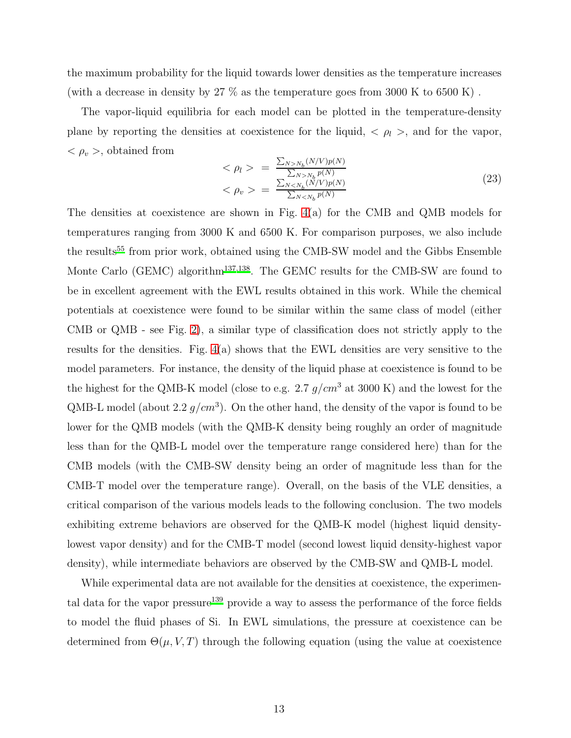the maximum probability for the liquid towards lower densities as the temperature increases (with a decrease in density by  $27\%$  as the temperature goes from 3000 K to 6500 K).

The vapor-liquid equilibria for each model can be plotted in the temperature-density plane by reporting the densities at coexistence for the liquid,  $\langle \rho_l \rangle$ , and for the vapor,  $<\rho_v$ , obtained from

<span id="page-12-0"></span>
$$
\langle \rho_l \rangle = \frac{\sum_{N>N_b} (N/V)p(N)}{\sum_{N>N_b} p(N)} \n\langle \rho_v \rangle = \frac{\sum_{N
$$

The densities at coexistence are shown in Fig.  $4(a)$  for the CMB and QMB models for temperatures ranging from 3000 K and 6500 K. For comparison purposes, we also include the results<sup>[55](#page-20-10)</sup> from prior work, obtained using the CMB-SW model and the Gibbs Ensemble Monte Carlo (GEMC) algorithm<sup>[137](#page-23-6)[,138](#page-23-7)</sup>. The GEMC results for the CMB-SW are found to be in excellent agreement with the EWL results obtained in this work. While the chemical potentials at coexistence were found to be similar within the same class of model (either CMB or QMB - see Fig. [2\)](#page-27-0), a similar type of classification does not strictly apply to the results for the densities. Fig. [4\(](#page-29-0)a) shows that the EWL densities are very sensitive to the model parameters. For instance, the density of the liquid phase at coexistence is found to be the highest for the QMB-K model (close to e.g. 2.7  $g/cm^3$  at 3000 K) and the lowest for the QMB-L model (about 2.2  $g/cm^3$ ). On the other hand, the density of the vapor is found to be lower for the QMB models (with the QMB-K density being roughly an order of magnitude less than for the QMB-L model over the temperature range considered here) than for the CMB models (with the CMB-SW density being an order of magnitude less than for the CMB-T model over the temperature range). Overall, on the basis of the VLE densities, a critical comparison of the various models leads to the following conclusion. The two models exhibiting extreme behaviors are observed for the QMB-K model (highest liquid densitylowest vapor density) and for the CMB-T model (second lowest liquid density-highest vapor density), while intermediate behaviors are observed by the CMB-SW and QMB-L model.

While experimental data are not available for the densities at coexistence, the experimen-tal data for the vapor pressure<sup>[139](#page-23-8)</sup> provide a way to assess the performance of the force fields to model the fluid phases of Si. In EWL simulations, the pressure at coexistence can be determined from  $\Theta(\mu, V, T)$  through the following equation (using the value at coexistence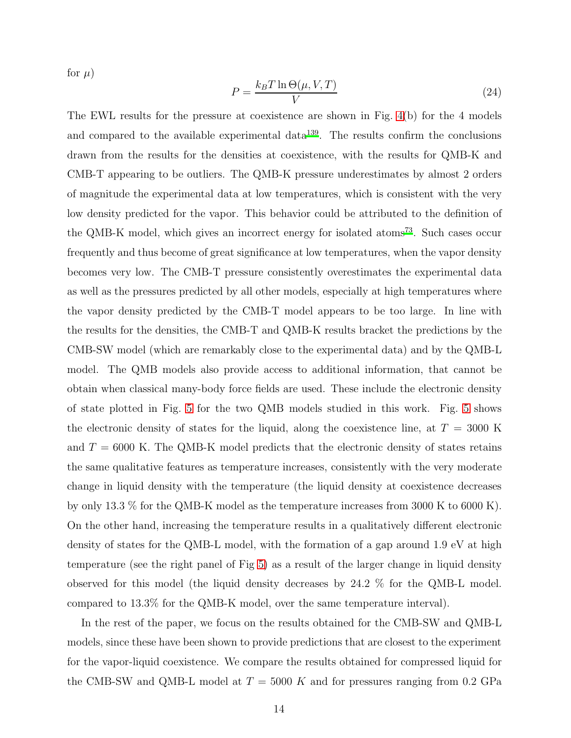for  $\mu$ )

$$
P = \frac{k_B T \ln \Theta(\mu, V, T)}{V} \tag{24}
$$

The EWL results for the pressure at coexistence are shown in Fig. [4\(](#page-29-0)b) for the 4 models and compared to the available experimental data<sup>[139](#page-23-8)</sup>. The results confirm the conclusions drawn from the results for the densities at coexistence, with the results for QMB-K and CMB-T appearing to be outliers. The QMB-K pressure underestimates by almost 2 orders of magnitude the experimental data at low temperatures, which is consistent with the very low density predicted for the vapor. This behavior could be attributed to the definition of the QMB-K model, which gives an incorrect energy for isolated atoms<sup>[73](#page-20-8)</sup>. Such cases occur frequently and thus become of great significance at low temperatures, when the vapor density becomes very low. The CMB-T pressure consistently overestimates the experimental data as well as the pressures predicted by all other models, especially at high temperatures where the vapor density predicted by the CMB-T model appears to be too large. In line with the results for the densities, the CMB-T and QMB-K results bracket the predictions by the CMB-SW model (which are remarkably close to the experimental data) and by the QMB-L model. The QMB models also provide access to additional information, that cannot be obtain when classical many-body force fields are used. These include the electronic density of state plotted in Fig. [5](#page-30-0) for the two QMB models studied in this work. Fig. [5](#page-30-0) shows the electronic density of states for the liquid, along the coexistence line, at  $T = 3000$  K and  $T = 6000$  K. The QMB-K model predicts that the electronic density of states retains the same qualitative features as temperature increases, consistently with the very moderate change in liquid density with the temperature (the liquid density at coexistence decreases by only 13.3 % for the QMB-K model as the temperature increases from 3000 K to 6000 K). On the other hand, increasing the temperature results in a qualitatively different electronic density of states for the QMB-L model, with the formation of a gap around 1.9 eV at high temperature (see the right panel of Fig [5\)](#page-30-0) as a result of the larger change in liquid density observed for this model (the liquid density decreases by 24.2 % for the QMB-L model. compared to 13.3% for the QMB-K model, over the same temperature interval).

In the rest of the paper, we focus on the results obtained for the CMB-SW and QMB-L models, since these have been shown to provide predictions that are closest to the experiment for the vapor-liquid coexistence. We compare the results obtained for compressed liquid for the CMB-SW and QMB-L model at  $T = 5000$  K and for pressures ranging from 0.2 GPa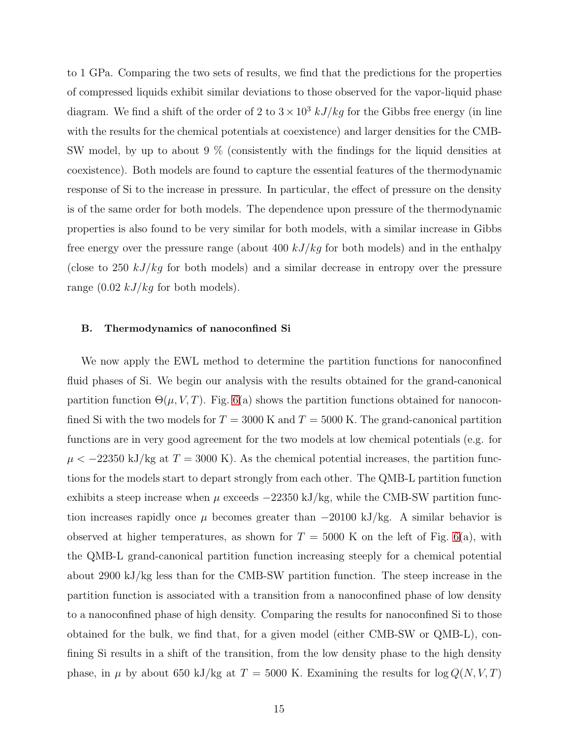to 1 GPa. Comparing the two sets of results, we find that the predictions for the properties of compressed liquids exhibit similar deviations to those observed for the vapor-liquid phase diagram. We find a shift of the order of 2 to  $3 \times 10^3$  kJ/kg for the Gibbs free energy (in line with the results for the chemical potentials at coexistence) and larger densities for the CMB-SW model, by up to about 9 % (consistently with the findings for the liquid densities at coexistence). Both models are found to capture the essential features of the thermodynamic response of Si to the increase in pressure. In particular, the effect of pressure on the density is of the same order for both models. The dependence upon pressure of the thermodynamic properties is also found to be very similar for both models, with a similar increase in Gibbs free energy over the pressure range (about 400  $kJ/kg$  for both models) and in the enthalpy (close to 250  $kJ/kg$  for both models) and a similar decrease in entropy over the pressure range  $(0.02 \; kJ/kg$  for both models).

#### B. Thermodynamics of nanoconfined Si

We now apply the EWL method to determine the partition functions for nanoconfined fluid phases of Si. We begin our analysis with the results obtained for the grand-canonical partition function  $\Theta(\mu, V, T)$ . Fig. [6\(](#page-31-0)a) shows the partition functions obtained for nanoconfined Si with the two models for  $T = 3000$  K and  $T = 5000$  K. The grand-canonical partition functions are in very good agreement for the two models at low chemical potentials (e.g. for  $\mu$  < -22350 kJ/kg at T = 3000 K). As the chemical potential increases, the partition functions for the models start to depart strongly from each other. The QMB-L partition function exhibits a steep increase when  $\mu$  exceeds  $-22350 \text{ kJ/kg}$ , while the CMB-SW partition function increases rapidly once  $\mu$  becomes greater than  $-20100 \text{ kJ/kg}$ . A similar behavior is observed at higher temperatures, as shown for  $T = 5000$  K on the left of Fig. [6\(](#page-31-0)a), with the QMB-L grand-canonical partition function increasing steeply for a chemical potential about 2900 kJ/kg less than for the CMB-SW partition function. The steep increase in the partition function is associated with a transition from a nanoconfined phase of low density to a nanoconfined phase of high density. Comparing the results for nanoconfined Si to those obtained for the bulk, we find that, for a given model (either CMB-SW or QMB-L), confining Si results in a shift of the transition, from the low density phase to the high density phase, in  $\mu$  by about 650 kJ/kg at  $T = 5000$  K. Examining the results for  $\log Q(N, V, T)$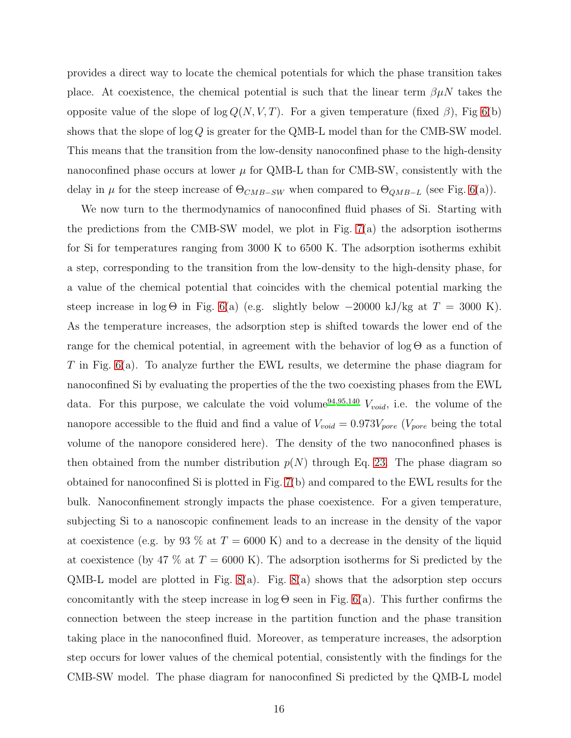provides a direct way to locate the chemical potentials for which the phase transition takes place. At coexistence, the chemical potential is such that the linear term  $\beta \mu N$  takes the opposite value of the slope of log  $Q(N, V, T)$ . For a given temperature (fixed  $\beta$ ), Fig [6\(](#page-31-0)b) shows that the slope of  $\log Q$  is greater for the QMB-L model than for the CMB-SW model. This means that the transition from the low-density nanoconfined phase to the high-density nanoconfined phase occurs at lower  $\mu$  for QMB-L than for CMB-SW, consistently with the delay in  $\mu$  for the steep increase of  $\Theta_{CMB-SW}$  when compared to  $\Theta_{QMB-L}$  (see Fig. [6\(](#page-31-0)a)).

We now turn to the thermodynamics of nanoconfined fluid phases of Si. Starting with the predictions from the CMB-SW model, we plot in Fig. [7\(](#page-32-0)a) the adsorption isotherms for Si for temperatures ranging from 3000 K to 6500 K. The adsorption isotherms exhibit a step, corresponding to the transition from the low-density to the high-density phase, for a value of the chemical potential that coincides with the chemical potential marking the steep increase in log Θ in Fig. [6\(](#page-31-0)a) (e.g. slightly below  $-20000 \text{ kJ/kg}$  at  $T = 3000 \text{ K}$ ). As the temperature increases, the adsorption step is shifted towards the lower end of the range for the chemical potential, in agreement with the behavior of  $\log \Theta$  as a function of T in Fig. [6\(](#page-31-0)a). To analyze further the EWL results, we determine the phase diagram for nanoconfined Si by evaluating the properties of the the two coexisting phases from the EWL data. For this purpose, we calculate the void volume<sup>[94](#page-21-15)[,95](#page-21-16)[,140](#page-23-9)</sup>  $V_{void}$ , i.e. the volume of the nanopore accessible to the fluid and find a value of  $V_{void} = 0.973V_{pore}$  ( $V_{pore}$  being the total volume of the nanopore considered here). The density of the two nanoconfined phases is then obtained from the number distribution  $p(N)$  through Eq. [23.](#page-12-0) The phase diagram so obtained for nanoconfined Si is plotted in Fig. [7\(](#page-32-0)b) and compared to the EWL results for the bulk. Nanoconfinement strongly impacts the phase coexistence. For a given temperature, subjecting Si to a nanoscopic confinement leads to an increase in the density of the vapor at coexistence (e.g. by 93 % at  $T = 6000$  K) and to a decrease in the density of the liquid at coexistence (by 47 % at  $T = 6000 \text{ K}$ ). The adsorption isotherms for Si predicted by the QMB-L model are plotted in Fig. [8\(](#page-33-0)a). Fig. [8\(](#page-33-0)a) shows that the adsorption step occurs concomitantly with the steep increase in  $\log \Theta$  seen in Fig. [6\(](#page-31-0)a). This further confirms the connection between the steep increase in the partition function and the phase transition taking place in the nanoconfined fluid. Moreover, as temperature increases, the adsorption step occurs for lower values of the chemical potential, consistently with the findings for the CMB-SW model. The phase diagram for nanoconfined Si predicted by the QMB-L model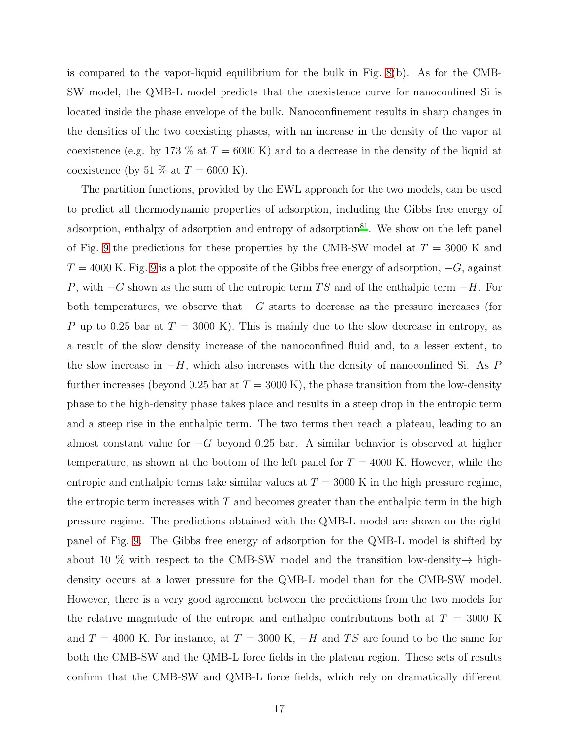is compared to the vapor-liquid equilibrium for the bulk in Fig. [8\(](#page-33-0)b). As for the CMB-SW model, the QMB-L model predicts that the coexistence curve for nanoconfined Si is located inside the phase envelope of the bulk. Nanoconfinement results in sharp changes in the densities of the two coexisting phases, with an increase in the density of the vapor at coexistence (e.g. by 173 % at  $T = 6000$  K) and to a decrease in the density of the liquid at coexistence (by 51 % at  $T = 6000$  K).

The partition functions, provided by the EWL approach for the two models, can be used to predict all thermodynamic properties of adsorption, including the Gibbs free energy of adsorption, enthalpy of adsorption and entropy of adsorption $81$ . We show on the left panel of Fig. [9](#page-34-0) the predictions for these properties by the CMB-SW model at  $T = 3000$  K and  $T = 4000$  K. Fig. [9](#page-34-0) is a plot the opposite of the Gibbs free energy of adsorption,  $-G$ , against P, with  $-G$  shown as the sum of the entropic term TS and of the enthalpic term  $-H$ . For both temperatures, we observe that  $-G$  starts to decrease as the pressure increases (for P up to 0.25 bar at  $T = 3000$  K). This is mainly due to the slow decrease in entropy, as a result of the slow density increase of the nanoconfined fluid and, to a lesser extent, to the slow increase in  $-H$ , which also increases with the density of nanoconfined Si. As P further increases (beyond 0.25 bar at  $T = 3000 \text{ K}$ ), the phase transition from the low-density phase to the high-density phase takes place and results in a steep drop in the entropic term and a steep rise in the enthalpic term. The two terms then reach a plateau, leading to an almost constant value for  $-G$  beyond 0.25 bar. A similar behavior is observed at higher temperature, as shown at the bottom of the left panel for  $T = 4000$  K. However, while the entropic and enthalpic terms take similar values at  $T = 3000$  K in the high pressure regime, the entropic term increases with  $T$  and becomes greater than the enthalpic term in the high pressure regime. The predictions obtained with the QMB-L model are shown on the right panel of Fig. [9.](#page-34-0) The Gibbs free energy of adsorption for the QMB-L model is shifted by about 10 % with respect to the CMB-SW model and the transition low-density $\rightarrow$  highdensity occurs at a lower pressure for the QMB-L model than for the CMB-SW model. However, there is a very good agreement between the predictions from the two models for the relative magnitude of the entropic and enthalpic contributions both at  $T = 3000$  K and  $T = 4000$  K. For instance, at  $T = 3000$  K,  $-H$  and TS are found to be the same for both the CMB-SW and the QMB-L force fields in the plateau region. These sets of results confirm that the CMB-SW and QMB-L force fields, which rely on dramatically different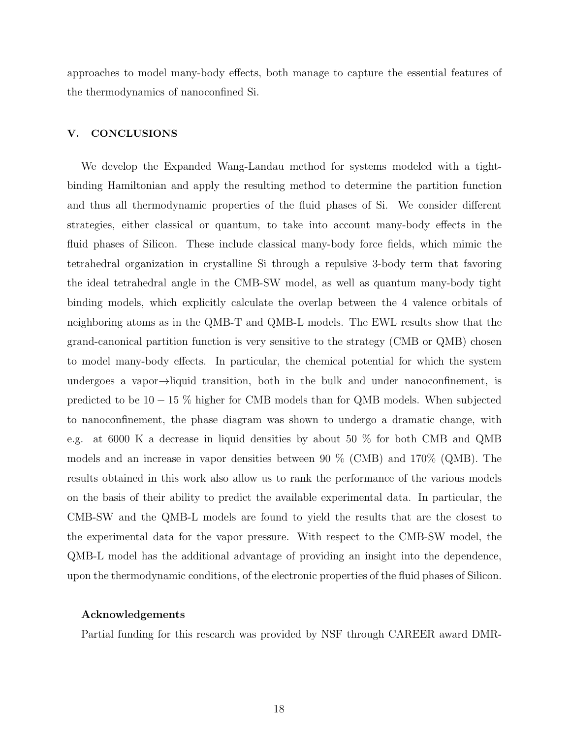approaches to model many-body effects, both manage to capture the essential features of the thermodynamics of nanoconfined Si.

# V. CONCLUSIONS

We develop the Expanded Wang-Landau method for systems modeled with a tightbinding Hamiltonian and apply the resulting method to determine the partition function and thus all thermodynamic properties of the fluid phases of Si. We consider different strategies, either classical or quantum, to take into account many-body effects in the fluid phases of Silicon. These include classical many-body force fields, which mimic the tetrahedral organization in crystalline Si through a repulsive 3-body term that favoring the ideal tetrahedral angle in the CMB-SW model, as well as quantum many-body tight binding models, which explicitly calculate the overlap between the 4 valence orbitals of neighboring atoms as in the QMB-T and QMB-L models. The EWL results show that the grand-canonical partition function is very sensitive to the strategy (CMB or QMB) chosen to model many-body effects. In particular, the chemical potential for which the system undergoes a vapor→liquid transition, both in the bulk and under nanoconfinement, is predicted to be 10 − 15 % higher for CMB models than for QMB models. When subjected to nanoconfinement, the phase diagram was shown to undergo a dramatic change, with e.g. at 6000 K a decrease in liquid densities by about 50 % for both CMB and QMB models and an increase in vapor densities between 90 % (CMB) and 170% (QMB). The results obtained in this work also allow us to rank the performance of the various models on the basis of their ability to predict the available experimental data. In particular, the CMB-SW and the QMB-L models are found to yield the results that are the closest to the experimental data for the vapor pressure. With respect to the CMB-SW model, the QMB-L model has the additional advantage of providing an insight into the dependence, upon the thermodynamic conditions, of the electronic properties of the fluid phases of Silicon.

### Acknowledgements

Partial funding for this research was provided by NSF through CAREER award DMR-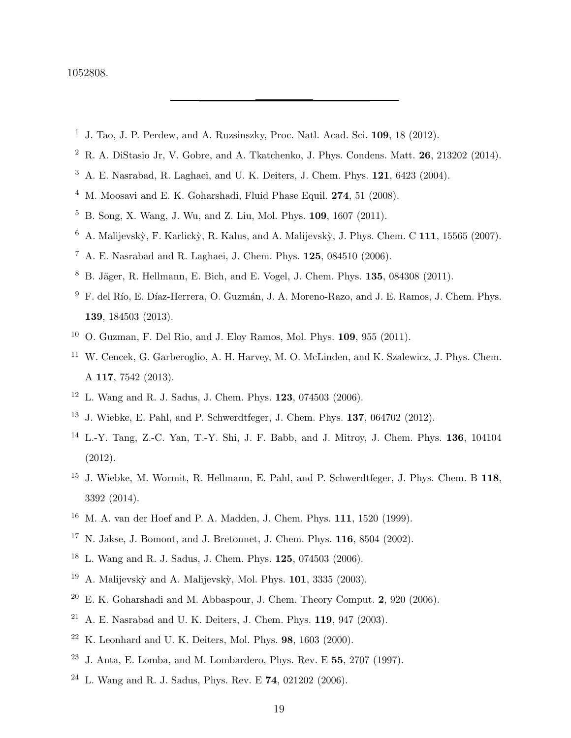## 1052808.

- <span id="page-18-0"></span><sup>1</sup> J. Tao, J. P. Perdew, and A. Ruzsinszky, Proc. Natl. Acad. Sci. **109**, 18 (2012).
- $2 R. A. Difstasio Jr. V. Gobre, and A. Tkatchenko, J. Phys. Condens. Matt. 26, 213202 (2014).$
- <sup>3</sup> A. E. Nasrabad, R. Laghaei, and U. K. Deiters, J. Chem. Phys. 121, 6423 (2004).
- <span id="page-18-2"></span><sup>4</sup> M. Moosavi and E. K. Goharshadi, Fluid Phase Equil. **274**, 51 (2008).
- <sup>5</sup> B. Song, X. Wang, J. Wu, and Z. Liu, Mol. Phys. 109, 1607 (2011).
- $6$  A. Malijevskỳ, F. Karlickỳ, R. Kalus, and A. Malijevskỳ, J. Phys. Chem. C 111, 15565 (2007).
- <sup>7</sup> A. E. Nasrabad and R. Laghaei, J. Chem. Phys.  $125, 084510$  (2006).
- $8\,$  B. Jäger, R. Hellmann, E. Bich, and E. Vogel, J. Chem. Phys. 135, 084308 (2011).
- $9 F.$  del Río, E. Díaz-Herrera, O. Guzmán, J. A. Moreno-Razo, and J. E. Ramos, J. Chem. Phys. 139, 184503 (2013).
- <sup>10</sup> O. Guzman, F. Del Rio, and J. Eloy Ramos, Mol. Phys. **109**, 955 (2011).
- <sup>11</sup> W. Cencek, G. Garberoglio, A. H. Harvey, M. O. McLinden, and K. Szalewicz, J. Phys. Chem. A 117, 7542 (2013).
- <span id="page-18-3"></span><sup>12</sup> L. Wang and R. J. Sadus, J. Chem. Phys. 123, 074503 (2006).
- <sup>13</sup> J. Wiebke, E. Pahl, and P. Schwerdtfeger, J. Chem. Phys. 137, 064702 (2012).
- <sup>14</sup> L.-Y. Tang, Z.-C. Yan, T.-Y. Shi, J. F. Babb, and J. Mitroy, J. Chem. Phys. 136, 104104 (2012).
- <span id="page-18-1"></span><sup>15</sup> J. Wiebke, M. Wormit, R. Hellmann, E. Pahl, and P. Schwerdtfeger, J. Phys. Chem. B 118, 3392 (2014).
- <span id="page-18-4"></span><sup>16</sup> M. A. van der Hoef and P. A. Madden, J. Chem. Phys. 111, 1520 (1999).
- <sup>17</sup> N. Jakse, J. Bomont, and J. Bretonnet, J. Chem. Phys. 116, 8504 (2002).
- <sup>18</sup> L. Wang and R. J. Sadus, J. Chem. Phys. 125, 074503 (2006).
- $19$  A. Malijevskỳ and A. Malijevskỳ, Mol. Phys. 101, 3335 (2003).
- $20$  E. K. Goharshadi and M. Abbaspour, J. Chem. Theory Comput. 2, 920 (2006).
- <sup>21</sup> A. E. Nasrabad and U. K. Deiters, J. Chem. Phys. **119**, 947 (2003).
- $22$  K. Leonhard and U. K. Deiters, Mol. Phys. **98**, 1603 (2000).
- <sup>23</sup> J. Anta, E. Lomba, and M. Lombardero, Phys. Rev. E  $55$ , 2707 (1997).
- <sup>24</sup> L. Wang and R. J. Sadus, Phys. Rev. E 74, 021202 (2006).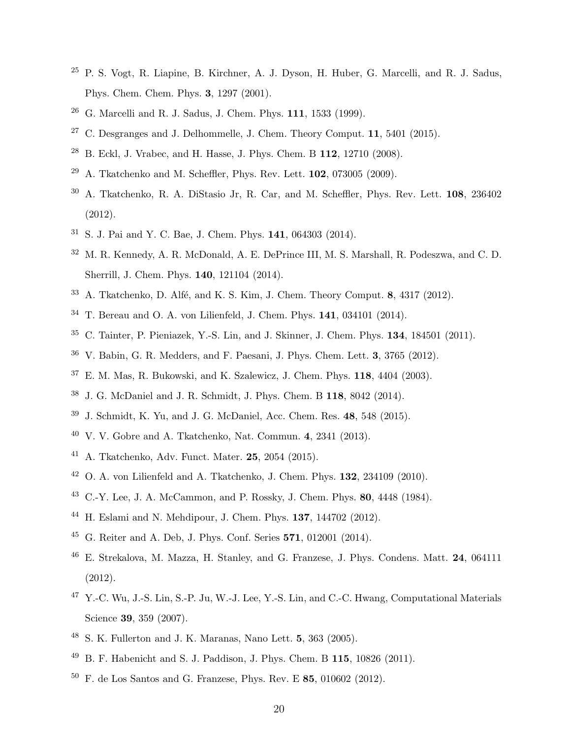- P. S. Vogt, R. Liapine, B. Kirchner, A. J. Dyson, H. Huber, G. Marcelli, and R. J. Sadus, Phys. Chem. Chem. Phys. 3, 1297 (2001).
- G. Marcelli and R. J. Sadus, J. Chem. Phys. 111, 1533 (1999).
- <span id="page-19-0"></span><sup>27</sup> C. Desgranges and J. Delhommelle, J. Chem. Theory Comput. **11**, 5401 (2015).
- <span id="page-19-1"></span>B. Eckl, J. Vrabec, and H. Hasse, J. Phys. Chem. B 112, 12710 (2008).
- <sup>29</sup> A. Tkatchenko and M. Scheffler, Phys. Rev. Lett. **102**, 073005 (2009).
- A. Tkatchenko, R. A. DiStasio Jr, R. Car, and M. Scheffler, Phys. Rev. Lett. 108, 236402 (2012).
- S. J. Pai and Y. C. Bae, J. Chem. Phys. 141, 064303 (2014).
- M. R. Kennedy, A. R. McDonald, A. E. DePrince III, M. S. Marshall, R. Podeszwa, and C. D. Sherrill, J. Chem. Phys. 140, 121104 (2014).
- A. Tkatchenko, D. Alfé, and K. S. Kim, J. Chem. Theory Comput. 8, 4317 (2012).
- T. Bereau and O. A. von Lilienfeld, J. Chem. Phys. 141, 034101 (2014).
- C. Tainter, P. Pieniazek, Y.-S. Lin, and J. Skinner, J. Chem. Phys. 134, 184501 (2011).
- V. Babin, G. R. Medders, and F. Paesani, J. Phys. Chem. Lett. 3, 3765 (2012).
- E. M. Mas, R. Bukowski, and K. Szalewicz, J. Chem. Phys. 118, 4404 (2003).
- J. G. McDaniel and J. R. Schmidt, J. Phys. Chem. B 118, 8042 (2014).
- <span id="page-19-2"></span>J. Schmidt, K. Yu, and J. G. McDaniel, Acc. Chem. Res. 48, 548 (2015).
- <span id="page-19-3"></span>V. V. Gobre and A. Tkatchenko, Nat. Commun. 4, 2341 (2013).
- <span id="page-19-4"></span>A. Tkatchenko, Adv. Funct. Mater. 25, 2054 (2015).
- <span id="page-19-5"></span>O. A. von Lilienfeld and A. Tkatchenko, J. Chem. Phys. **132**, 234109 (2010).
- <span id="page-19-6"></span>C.-Y. Lee, J. A. McCammon, and P. Rossky, J. Chem. Phys. 80, 4448 (1984).
- H. Eslami and N. Mehdipour, J. Chem. Phys. 137, 144702 (2012).
- G. Reiter and A. Deb, J. Phys. Conf. Series 571, 012001 (2014).
- E. Strekalova, M. Mazza, H. Stanley, and G. Franzese, J. Phys. Condens. Matt. 24, 064111 (2012).
- Y.-C. Wu, J.-S. Lin, S.-P. Ju, W.-J. Lee, Y.-S. Lin, and C.-C. Hwang, Computational Materials Science 39, 359 (2007).
- S. K. Fullerton and J. K. Maranas, Nano Lett. 5, 363 (2005).
- B. F. Habenicht and S. J. Paddison, J. Phys. Chem. B 115, 10826 (2011).
- F. de Los Santos and G. Franzese, Phys. Rev. E 85, 010602 (2012).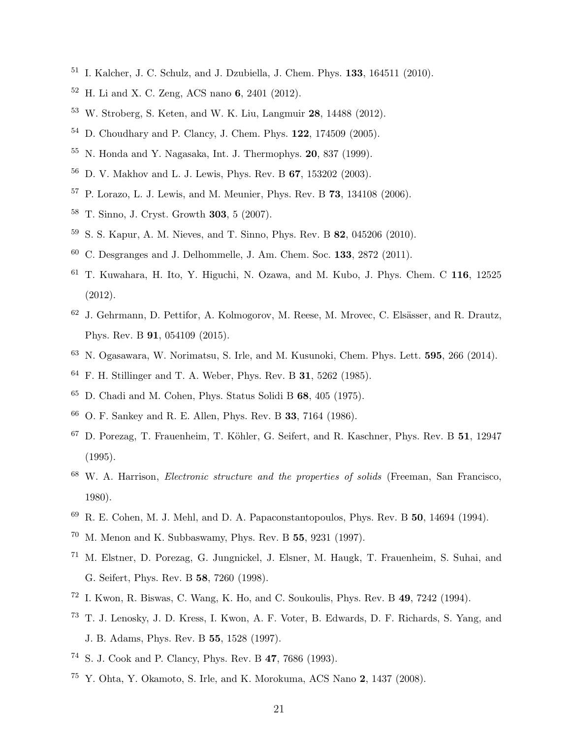- I. Kalcher, J. C. Schulz, and J. Dzubiella, J. Chem. Phys. 133, 164511 (2010).
- H. Li and X. C. Zeng, ACS nano 6, 2401 (2012).
- <span id="page-20-0"></span>W. Stroberg, S. Keten, and W. K. Liu, Langmuir 28, 14488 (2012).
- <span id="page-20-1"></span>D. Choudhary and P. Clancy, J. Chem. Phys. 122, 174509 (2005).
- <span id="page-20-10"></span>N. Honda and Y. Nagasaka, Int. J. Thermophys. 20, 837 (1999).
- D. V. Makhov and L. J. Lewis, Phys. Rev. B 67, 153202 (2003).
- P. Lorazo, L. J. Lewis, and M. Meunier, Phys. Rev. B 73, 134108 (2006).
- T. Sinno, J. Cryst. Growth 303, 5 (2007).
- S. S. Kapur, A. M. Nieves, and T. Sinno, Phys. Rev. B 82, 045206 (2010).
- C. Desgranges and J. Delhommelle, J. Am. Chem. Soc. 133, 2872 (2011).
- T. Kuwahara, H. Ito, Y. Higuchi, N. Ozawa, and M. Kubo, J. Phys. Chem. C 116, 12525 (2012).
- <sup>62</sup> J. Gehrmann, D. Pettifor, A. Kolmogorov, M. Reese, M. Mrovec, C. Elsässer, and R. Drautz, Phys. Rev. B 91, 054109 (2015).
- <span id="page-20-2"></span>N. Ogasawara, W. Norimatsu, S. Irle, and M. Kusunoki, Chem. Phys. Lett. 595, 266 (2014).
- <span id="page-20-3"></span>F. H. Stillinger and T. A. Weber, Phys. Rev. B 31, 5262 (1985).
- <span id="page-20-4"></span>D. Chadi and M. Cohen, Phys. Status Solidi B 68, 405 (1975).
- O. F. Sankey and R. E. Allen, Phys. Rev. B 33, 7164 (1986).
- <span id="page-20-5"></span><sup>67</sup> D. Porezag, T. Frauenheim, T. Köhler, G. Seifert, and R. Kaschner, Phys. Rev. B 51, 12947 (1995).
- W. A. Harrison, Electronic structure and the properties of solids (Freeman, San Francisco, 1980).
- R. E. Cohen, M. J. Mehl, and D. A. Papaconstantopoulos, Phys. Rev. B 50, 14694 (1994).
- M. Menon and K. Subbaswamy, Phys. Rev. B 55, 9231 (1997).
- <span id="page-20-9"></span> M. Elstner, D. Porezag, G. Jungnickel, J. Elsner, M. Haugk, T. Frauenheim, S. Suhai, and G. Seifert, Phys. Rev. B 58, 7260 (1998).
- <span id="page-20-7"></span>I. Kwon, R. Biswas, C. Wang, K. Ho, and C. Soukoulis, Phys. Rev. B 49, 7242 (1994).
- <span id="page-20-8"></span> T. J. Lenosky, J. D. Kress, I. Kwon, A. F. Voter, B. Edwards, D. F. Richards, S. Yang, and J. B. Adams, Phys. Rev. B 55, 1528 (1997).
- S. J. Cook and P. Clancy, Phys. Rev. B 47, 7686 (1993).
- <span id="page-20-6"></span> $^{75}$  Y. Ohta, Y. Okamoto, S. Irle, and K. Morokuma, ACS Nano 2, 1437 (2008).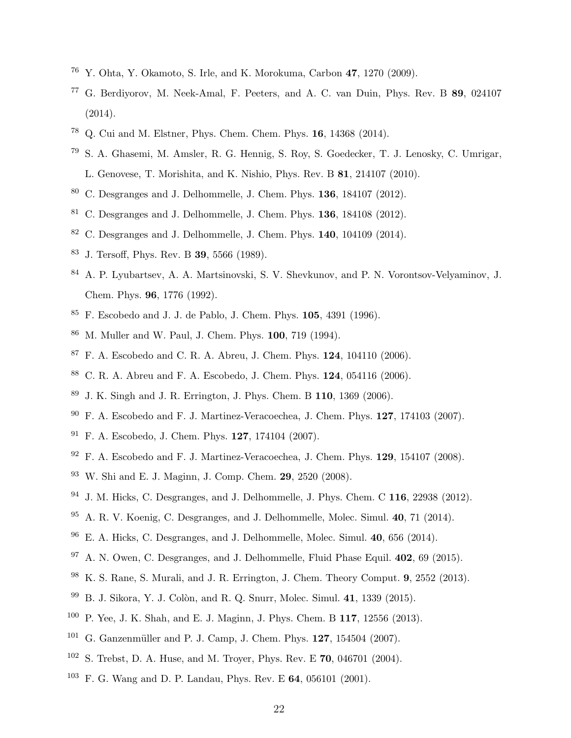- Y. Ohta, Y. Okamoto, S. Irle, and K. Morokuma, Carbon 47, 1270 (2009).
- G. Berdiyorov, M. Neek-Amal, F. Peeters, and A. C. van Duin, Phys. Rev. B 89, 024107 (2014).
- <span id="page-21-0"></span>Q. Cui and M. Elstner, Phys. Chem. Chem. Phys. 16, 14368 (2014).
- <span id="page-21-1"></span> S. A. Ghasemi, M. Amsler, R. G. Hennig, S. Roy, S. Goedecker, T. J. Lenosky, C. Umrigar, L. Genovese, T. Morishita, and K. Nishio, Phys. Rev. B 81, 214107 (2010).
- <span id="page-21-2"></span>C. Desgranges and J. Delhommelle, J. Chem. Phys. 136, 184107 (2012).
- <span id="page-21-14"></span>C. Desgranges and J. Delhommelle, J. Chem. Phys. **136**, 184108 (2012).
- <span id="page-21-3"></span>C. Desgranges and J. Delhommelle, J. Chem. Phys.  $140$ ,  $104109$   $(2014)$ .
- <span id="page-21-4"></span>J. Tersoff, Phys. Rev. B 39, 5566 (1989).
- <span id="page-21-5"></span> A. P. Lyubartsev, A. A. Martsinovski, S. V. Shevkunov, and P. N. Vorontsov-Velyaminov, J. Chem. Phys. 96, 1776 (1992).
- F. Escobedo and J. J. de Pablo, J. Chem. Phys. 105, 4391 (1996).
- M. Muller and W. Paul, J. Chem. Phys. 100, 719 (1994).
- <span id="page-21-11"></span>F. A. Escobedo and C. R. A. Abreu, J. Chem. Phys. 124, 104110 (2006).
- C. R. A. Abreu and F. A. Escobedo, J. Chem. Phys. 124, 054116 (2006).
- J. K. Singh and J. R. Errington, J. Phys. Chem. B 110, 1369 (2006).
- F. A. Escobedo and F. J. Martinez-Veracoechea, J. Chem. Phys. 127, 174103 (2007).
- F. A. Escobedo, J. Chem. Phys. 127, 174104 (2007).
- F. A. Escobedo and F. J. Martinez-Veracoechea, J. Chem. Phys. 129, 154107 (2008).
- W. Shi and E. J. Maginn, J. Comp. Chem. 29, 2520 (2008).
- <span id="page-21-15"></span>J. M. Hicks, C. Desgranges, and J. Delhommelle, J. Phys. Chem. C 116, 22938 (2012).
- <span id="page-21-16"></span>A. R. V. Koenig, C. Desgranges, and J. Delhommelle, Molec. Simul. 40, 71 (2014).
- E. A. Hicks, C. Desgranges, and J. Delhommelle, Molec. Simul. 40, 656 (2014).
- <span id="page-21-6"></span>A. N. Owen, C. Desgranges, and J. Delhommelle, Fluid Phase Equil. 402, 69 (2015).
- <span id="page-21-7"></span>K. S. Rane, S. Murali, and J. R. Errington, J. Chem. Theory Comput. 9, 2552 (2013).
- <span id="page-21-8"></span> $99\,$  B. J. Sikora, Y. J. Colòn, and R. Q. Snurr, Molec. Simul. 41, 1339 (2015).
- <span id="page-21-9"></span>P. Yee, J. K. Shah, and E. J. Maginn, J. Phys. Chem. B 117, 12556 (2013).
- <span id="page-21-10"></span>G. Ganzenmüller and P. J. Camp, J. Chem. Phys. 127, 154504 (2007).
- <span id="page-21-12"></span>S. Trebst, D. A. Huse, and M. Troyer, Phys. Rev. E 70, 046701 (2004).
- <span id="page-21-13"></span><sup>103</sup> F. G. Wang and D. P. Landau, Phys. Rev. E 64, 056101 (2001).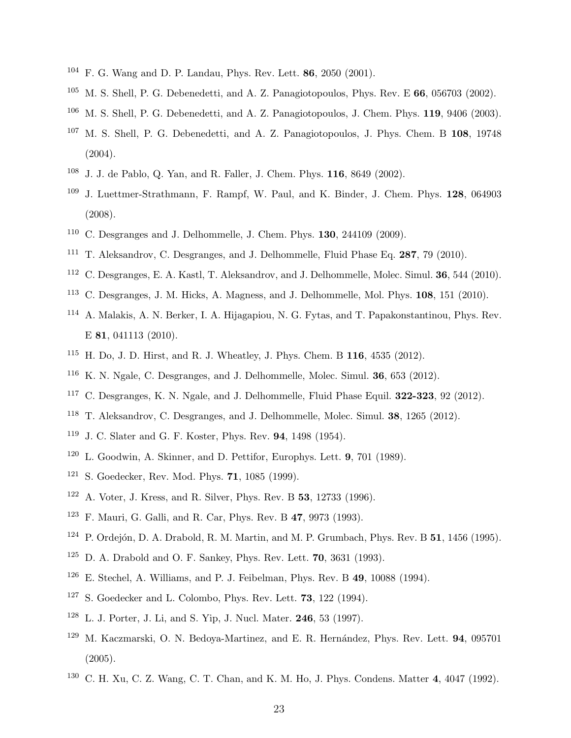- F. G. Wang and D. P. Landau, Phys. Rev. Lett. 86, 2050 (2001).
- M. S. Shell, P. G. Debenedetti, and A. Z. Panagiotopoulos, Phys. Rev. E 66, 056703 (2002).
- M. S. Shell, P. G. Debenedetti, and A. Z. Panagiotopoulos, J. Chem. Phys. 119, 9406 (2003).
- <sup>107</sup> M. S. Shell, P. G. Debenedetti, and A. Z. Panagiotopoulos, J. Phys. Chem. B 108, 19748 (2004).
- J. J. de Pablo, Q. Yan, and R. Faller, J. Chem. Phys. 116, 8649 (2002).
- J. Luettmer-Strathmann, F. Rampf, W. Paul, and K. Binder, J. Chem. Phys. 128, 064903 (2008).
- C. Desgranges and J. Delhommelle, J. Chem. Phys. **130**, 244109 (2009).
- <sup>111</sup> T. Aleksandrov, C. Desgranges, and J. Delhommelle, Fluid Phase Eq. **287**, 79 (2010).
- C. Desgranges, E. A. Kastl, T. Aleksandrov, and J. Delhommelle, Molec. Simul. 36, 544 (2010).
- C. Desgranges, J. M. Hicks, A. Magness, and J. Delhommelle, Mol. Phys. 108, 151 (2010).
- A. Malakis, A. N. Berker, I. A. Hijagapiou, N. G. Fytas, and T. Papakonstantinou, Phys. Rev. E 81, 041113 (2010).
- <sup>115</sup> H. Do, J. D. Hirst, and R. J. Wheatley, J. Phys. Chem. B  $116$ ,  $4535$  (2012).
- K. N. Ngale, C. Desgranges, and J. Delhommelle, Molec. Simul. 36, 653 (2012).
- <sup>117</sup> C. Desgranges, K. N. Ngale, and J. Delhommelle, Fluid Phase Equil. **322-323**, 92 (2012).
- <span id="page-22-0"></span>T. Aleksandrov, C. Desgranges, and J. Delhommelle, Molec. Simul. 38, 1265 (2012).
- <span id="page-22-1"></span>J. C. Slater and G. F. Koster, Phys. Rev. 94, 1498 (1954).
- <span id="page-22-2"></span>L. Goodwin, A. Skinner, and D. Pettifor, Europhys. Lett. 9, 701 (1989).
- <span id="page-22-3"></span>S. Goedecker, Rev. Mod. Phys. 71, 1085 (1999).
- A. Voter, J. Kress, and R. Silver, Phys. Rev. B 53, 12733 (1996).
- F. Mauri, G. Galli, and R. Car, Phys. Rev. B 47, 9973 (1993).
- P. Ordejón, D. A. Drabold, R. M. Martin, and M. P. Grumbach, Phys. Rev. B 51, 1456 (1995).
- D. A. Drabold and O. F. Sankey, Phys. Rev. Lett. **70**, 3631 (1993).
- <sup>126</sup> E. Stechel, A. Williams, and P. J. Feibelman, Phys. Rev. B **49**, 10088 (1994).
- <span id="page-22-4"></span>S. Goedecker and L. Colombo, Phys. Rev. Lett. **73**, 122 (1994).
- <span id="page-22-5"></span>L. J. Porter, J. Li, and S. Yip, J. Nucl. Mater. 246, 53 (1997).
- <span id="page-22-6"></span> M. Kaczmarski, O. N. Bedoya-Martinez, and E. R. Hernández, Phys. Rev. Lett. **94**, 095701 (2005).
- <span id="page-22-7"></span>C. H. Xu, C. Z. Wang, C. T. Chan, and K. M. Ho, J. Phys. Condens. Matter 4, 4047 (1992).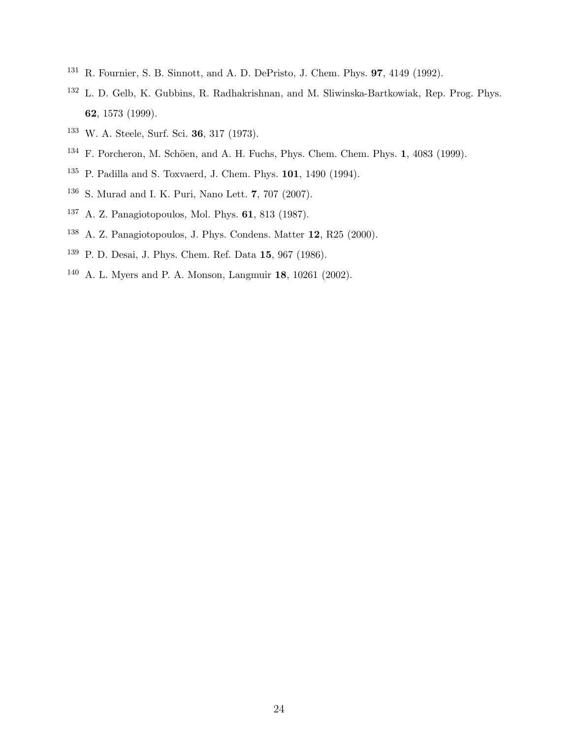- <span id="page-23-0"></span>R. Fournier, S. B. Sinnott, and A. D. DePristo, J. Chem. Phys. 97, 4149 (1992).
- <span id="page-23-1"></span> L. D. Gelb, K. Gubbins, R. Radhakrishnan, and M. Sliwinska-Bartkowiak, Rep. Prog. Phys. , 1573 (1999).
- <span id="page-23-2"></span>W. A. Steele, Surf. Sci. 36, 317 (1973).
- <span id="page-23-3"></span>F. Porcheron, M. Schöen, and A. H. Fuchs, Phys. Chem. Chem. Phys. 1, 4083 (1999).
- <span id="page-23-4"></span>P. Padilla and S. Toxvaerd, J. Chem. Phys. 101, 1490 (1994).
- <span id="page-23-5"></span>S. Murad and I. K. Puri, Nano Lett. 7, 707 (2007).
- <span id="page-23-6"></span>A. Z. Panagiotopoulos, Mol. Phys. 61, 813 (1987).
- <span id="page-23-7"></span>A. Z. Panagiotopoulos, J. Phys. Condens. Matter 12, R25 (2000).
- <span id="page-23-8"></span>P. D. Desai, J. Phys. Chem. Ref. Data 15, 967 (1986).
- <span id="page-23-9"></span>A. L. Myers and P. A. Monson, Langmuir 18, 10261 (2002).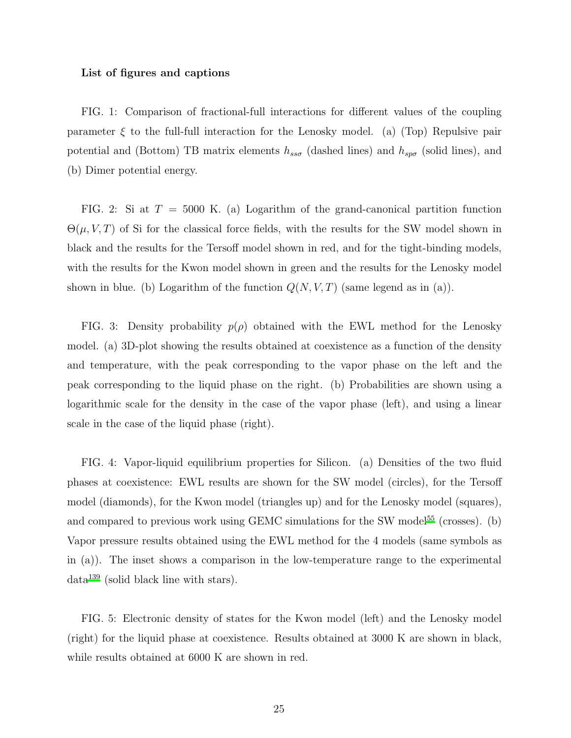#### List of figures and captions

FIG. 1: Comparison of fractional-full interactions for different values of the coupling parameter  $\xi$  to the full-full interaction for the Lenosky model. (a) (Top) Repulsive pair potential and (Bottom) TB matrix elements  $h_{ss\sigma}$  (dashed lines) and  $h_{sp\sigma}$  (solid lines), and (b) Dimer potential energy.

FIG. 2: Si at  $T = 5000$  K. (a) Logarithm of the grand-canonical partition function  $\Theta(\mu, V, T)$  of Si for the classical force fields, with the results for the SW model shown in black and the results for the Tersoff model shown in red, and for the tight-binding models, with the results for the Kwon model shown in green and the results for the Lenosky model shown in blue. (b) Logarithm of the function  $Q(N, V, T)$  (same legend as in (a)).

FIG. 3: Density probability  $p(\rho)$  obtained with the EWL method for the Lenosky model. (a) 3D-plot showing the results obtained at coexistence as a function of the density and temperature, with the peak corresponding to the vapor phase on the left and the peak corresponding to the liquid phase on the right. (b) Probabilities are shown using a logarithmic scale for the density in the case of the vapor phase (left), and using a linear scale in the case of the liquid phase (right).

FIG. 4: Vapor-liquid equilibrium properties for Silicon. (a) Densities of the two fluid phases at coexistence: EWL results are shown for the SW model (circles), for the Tersoff model (diamonds), for the Kwon model (triangles up) and for the Lenosky model (squares), and compared to previous work using GEMC simulations for the SW model<sup>[55](#page-20-10)</sup> (crosses). (b) Vapor pressure results obtained using the EWL method for the 4 models (same symbols as in (a)). The inset shows a comparison in the low-temperature range to the experimental  $data^{139}$  $data^{139}$  $data^{139}$  (solid black line with stars).

FIG. 5: Electronic density of states for the Kwon model (left) and the Lenosky model (right) for the liquid phase at coexistence. Results obtained at 3000 K are shown in black, while results obtained at 6000 K are shown in red.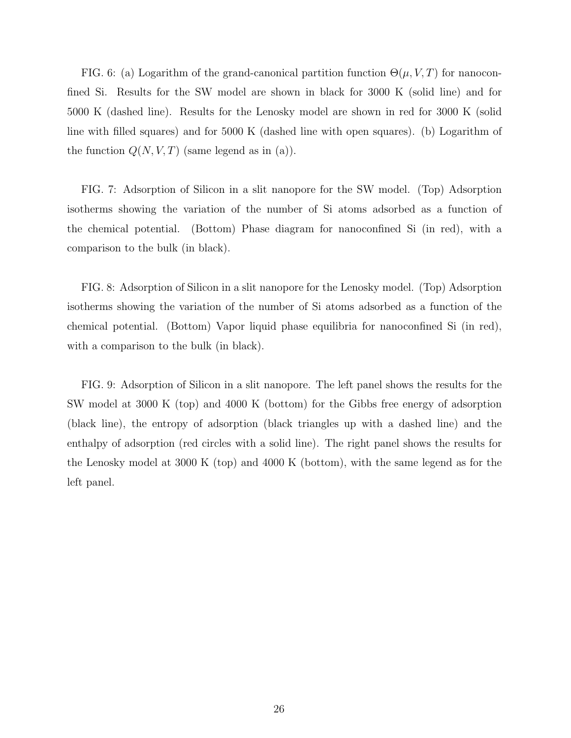FIG. 6: (a) Logarithm of the grand-canonical partition function  $\Theta(\mu, V, T)$  for nanoconfined Si. Results for the SW model are shown in black for 3000 K (solid line) and for 5000 K (dashed line). Results for the Lenosky model are shown in red for 3000 K (solid line with filled squares) and for 5000 K (dashed line with open squares). (b) Logarithm of the function  $Q(N, V, T)$  (same legend as in (a)).

FIG. 7: Adsorption of Silicon in a slit nanopore for the SW model. (Top) Adsorption isotherms showing the variation of the number of Si atoms adsorbed as a function of the chemical potential. (Bottom) Phase diagram for nanoconfined Si (in red), with a comparison to the bulk (in black).

FIG. 8: Adsorption of Silicon in a slit nanopore for the Lenosky model. (Top) Adsorption isotherms showing the variation of the number of Si atoms adsorbed as a function of the chemical potential. (Bottom) Vapor liquid phase equilibria for nanoconfined Si (in red), with a comparison to the bulk (in black).

FIG. 9: Adsorption of Silicon in a slit nanopore. The left panel shows the results for the SW model at 3000 K (top) and 4000 K (bottom) for the Gibbs free energy of adsorption (black line), the entropy of adsorption (black triangles up with a dashed line) and the enthalpy of adsorption (red circles with a solid line). The right panel shows the results for the Lenosky model at 3000 K (top) and 4000 K (bottom), with the same legend as for the left panel.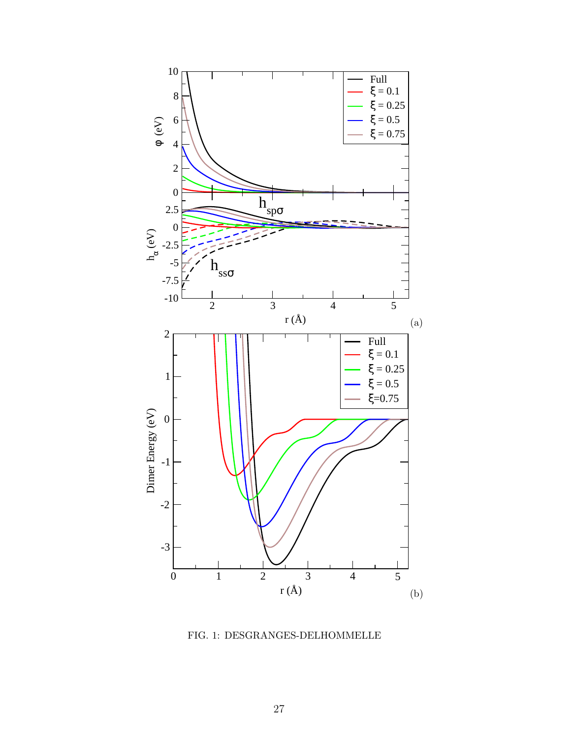

<span id="page-26-0"></span>FIG. 1: DESGRANGES-DELHOMMELLE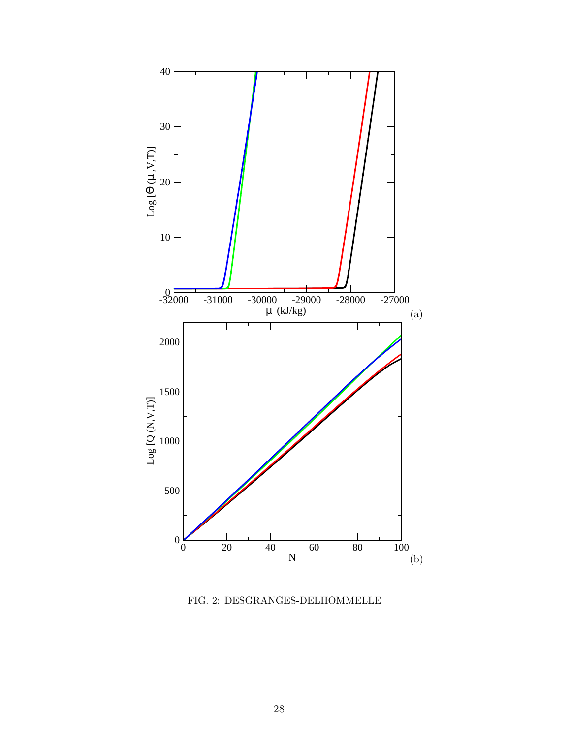

<span id="page-27-0"></span>FIG. 2: DESGRANGES-DELHOMMELLE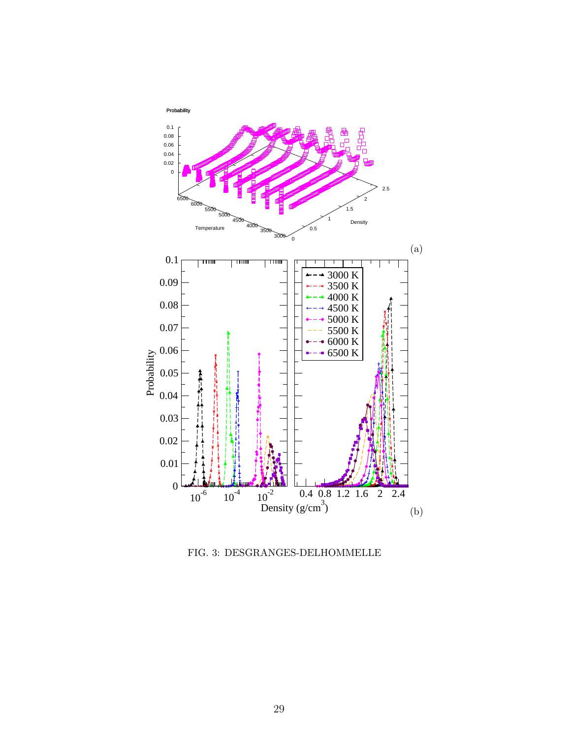

<span id="page-28-0"></span>FIG. 3: DESGRANGES-DELHOMMELLE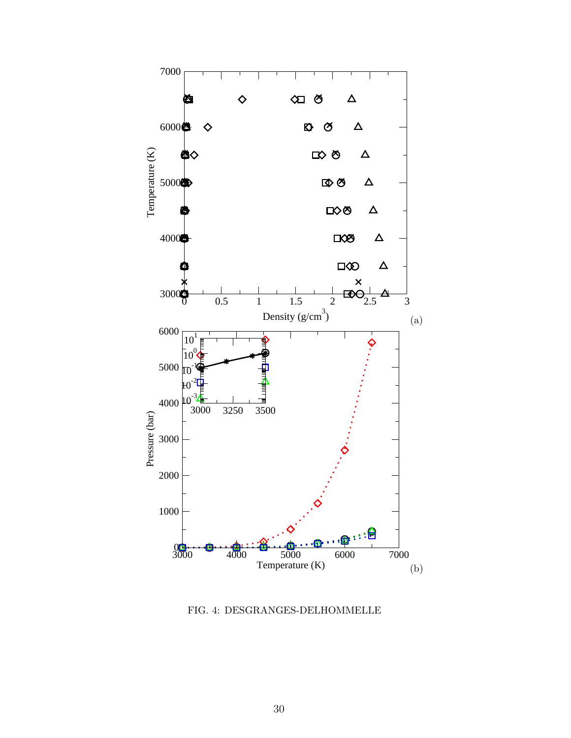

<span id="page-29-0"></span>FIG. 4: DESGRANGES-DELHOMMELLE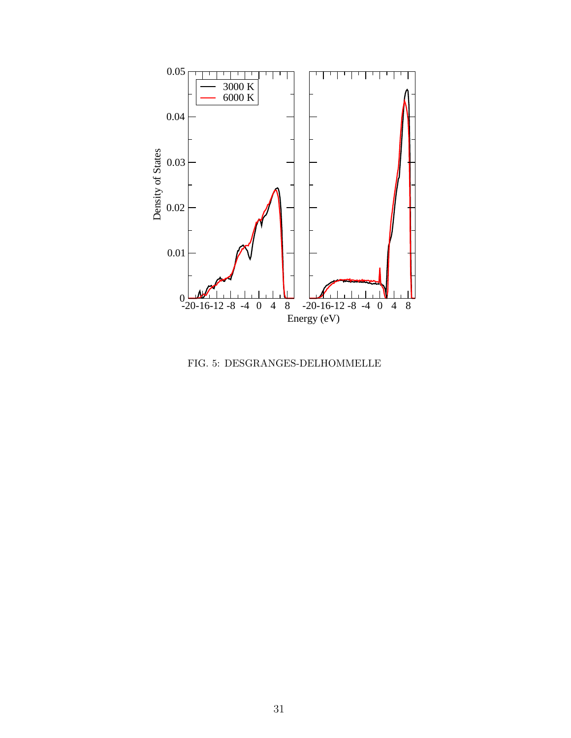

<span id="page-30-0"></span>FIG. 5: DESGRANGES-DELHOMMELLE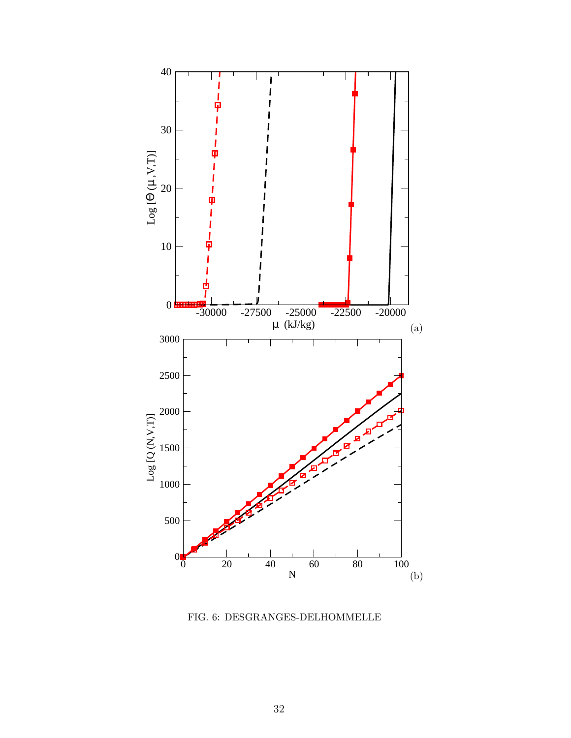

<span id="page-31-0"></span>FIG. 6: DESGRANGES-DELHOMMELLE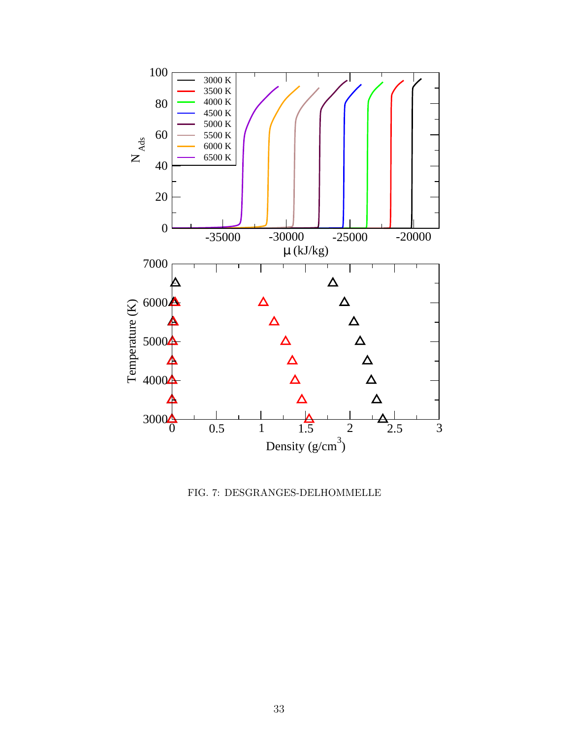

<span id="page-32-0"></span>FIG. 7: DESGRANGES-DELHOMMELLE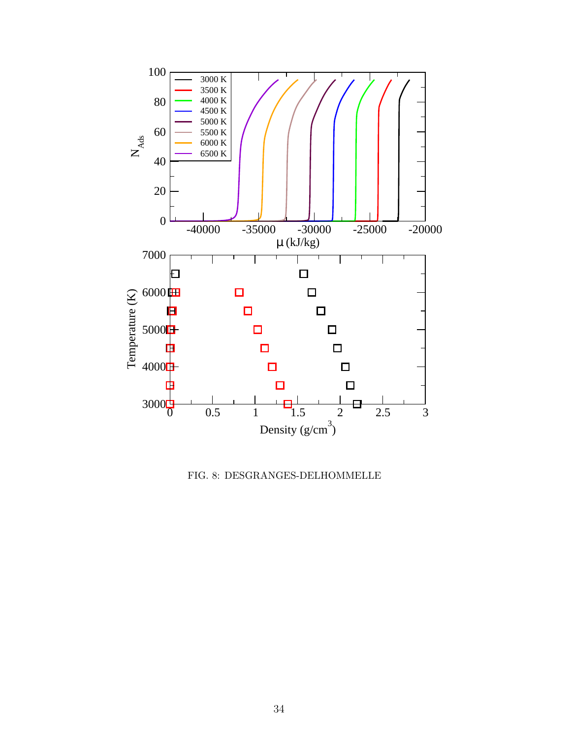

<span id="page-33-0"></span>FIG. 8: DESGRANGES-DELHOMMELLE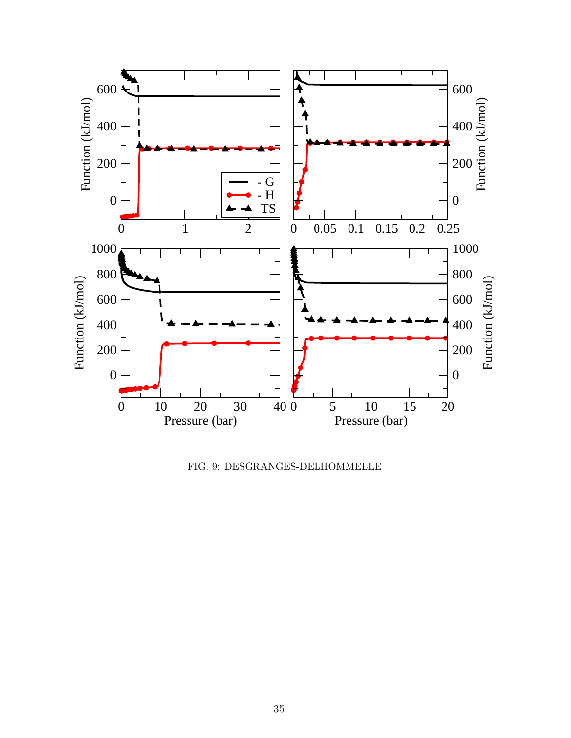

<span id="page-34-0"></span>FIG. 9: DESGRANGES-DELHOMMELLE